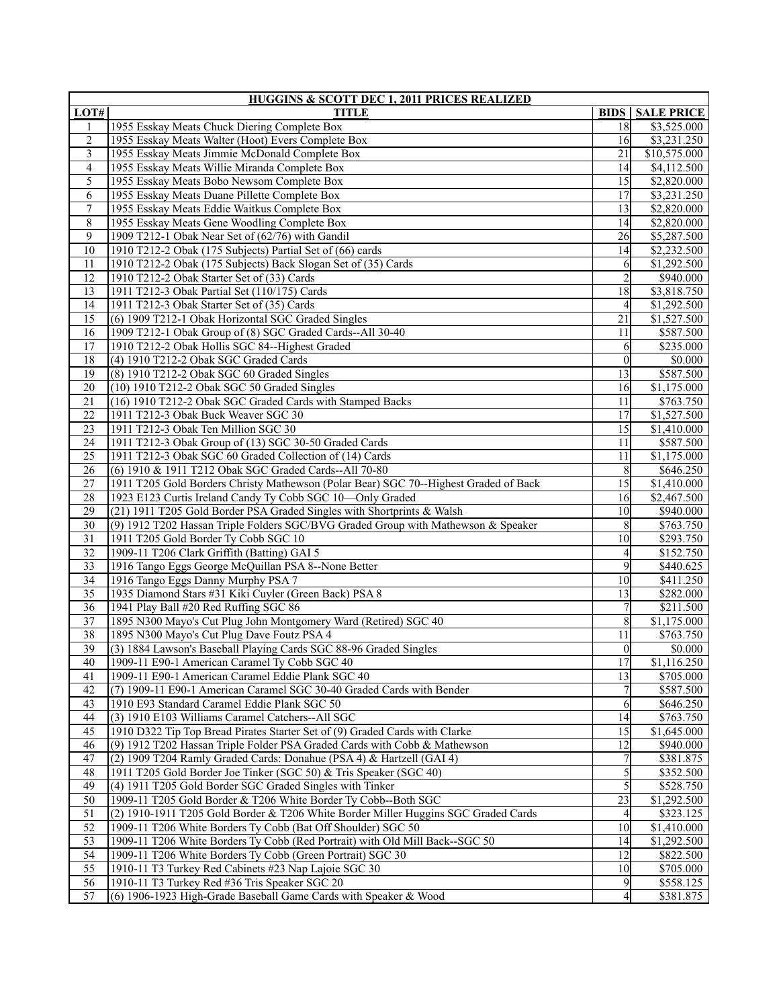| HUGGINS & SCOTT DEC 1, 2011 PRICES REALIZED |                                                                                      |                         |                         |
|---------------------------------------------|--------------------------------------------------------------------------------------|-------------------------|-------------------------|
| LOT#                                        | <b>TITLE</b>                                                                         | <b>BIDS</b>             | <b>SALE PRICE</b>       |
| 1                                           | 1955 Esskay Meats Chuck Diering Complete Box                                         | 18                      | \$3,525.000             |
| 2                                           | 1955 Esskay Meats Walter (Hoot) Evers Complete Box                                   | 16                      | \$3,231.250             |
| $\overline{\mathbf{3}}$                     | 1955 Esskay Meats Jimmie McDonald Complete Box                                       | 21                      | \$10,575.000            |
| 4                                           | 1955 Esskay Meats Willie Miranda Complete Box                                        | 14                      | \$4,112.500             |
| 5                                           | 1955 Esskay Meats Bobo Newsom Complete Box                                           | 15                      | \$2,820.000             |
| 6                                           | 1955 Esskay Meats Duane Pillette Complete Box                                        | 17                      | \$3,231.250             |
| 7                                           | 1955 Esskay Meats Eddie Waitkus Complete Box                                         | 13                      | \$2,820.000             |
| 8                                           | 1955 Esskay Meats Gene Woodling Complete Box                                         | 14                      | \$2,820.000             |
| 9                                           | 1909 T212-1 Obak Near Set of (62/76) with Gandil                                     | 26                      | \$5,287.500             |
| 10                                          | 1910 T212-2 Obak (175 Subjects) Partial Set of (66) cards                            | 14                      | \$2,232.500             |
| 11                                          | 1910 T212-2 Obak (175 Subjects) Back Slogan Set of (35) Cards                        | 6                       | \$1,292.500             |
| 12                                          | 1910 T212-2 Obak Starter Set of (33) Cards                                           | $\overline{\mathbf{c}}$ | \$940.000               |
| 13                                          | 1911 T212-3 Obak Partial Set (110/175) Cards                                         | 18                      | \$3,818.750             |
| 14                                          | 1911 T212-3 Obak Starter Set of (35) Cards                                           |                         | \$1,292.500             |
| $\overline{15}$                             | (6) 1909 T212-1 Obak Horizontal SGC Graded Singles                                   | $\overline{21}$         | \$1,527.500             |
| 16                                          | 1909 T212-1 Obak Group of (8) SGC Graded Cards--All 30-40                            | 11                      | \$587.500               |
| 17                                          | 1910 T212-2 Obak Hollis SGC 84--Highest Graded                                       | 6                       | \$235.000               |
| 18                                          | (4) 1910 T212-2 Obak SGC Graded Cards                                                | $\mathbf{0}$            | \$0.000                 |
| 19                                          | (8) 1910 T212-2 Obak SGC 60 Graded Singles                                           | 13                      | \$587.500               |
| $\overline{20}$                             | (10) 1910 T212-2 Obak SGC 50 Graded Singles                                          | 16                      | \$1,175.000             |
| $\overline{21}$                             | (16) 1910 T212-2 Obak SGC Graded Cards with Stamped Backs                            | 11                      | \$763.750               |
| 22                                          | 1911 T212-3 Obak Buck Weaver SGC 30                                                  | 17                      | \$1,527.500             |
| 23                                          | 1911 T212-3 Obak Ten Million SGC 30                                                  | 15                      | $\overline{$1,410.000}$ |
| 24                                          | 1911 T212-3 Obak Group of (13) SGC 30-50 Graded Cards                                | 11                      | \$587.500               |
| $\overline{25}$                             | 1911 T212-3 Obak SGC 60 Graded Collection of (14) Cards                              | 11                      | \$1,175.000             |
| $\overline{26}$                             | (6) 1910 & 1911 T212 Obak SGC Graded Cards--All 70-80                                | 8                       | \$646.250               |
| 27                                          | 1911 T205 Gold Borders Christy Mathewson (Polar Bear) SGC 70--Highest Graded of Back | 15                      | \$1,410.000             |
| 28                                          | 1923 E123 Curtis Ireland Candy Ty Cobb SGC 10-Only Graded                            | 16                      | \$2,467.500             |
| 29                                          | (21) 1911 T205 Gold Border PSA Graded Singles with Shortprints & Walsh               | 10                      | \$940.000               |
| $\overline{30}$                             | (9) 1912 T202 Hassan Triple Folders SGC/BVG Graded Group with Mathewson & Speaker    | 8                       | \$763.750               |
| $\overline{31}$                             | 1911 T205 Gold Border Ty Cobb SGC 10                                                 | 10                      | \$293.750               |
| 32                                          | 1909-11 T206 Clark Griffith (Batting) GAI 5                                          | 4                       | \$152.750               |
| $\overline{33}$                             | 1916 Tango Eggs George McQuillan PSA 8--None Better                                  | 9                       | \$440.625               |
| 34                                          | 1916 Tango Eggs Danny Murphy PSA 7                                                   | 10                      | \$411.250               |
| $\overline{35}$                             | 1935 Diamond Stars #31 Kiki Cuyler (Green Back) PSA 8                                | 13                      | \$282.000               |
| $\overline{36}$                             | 1941 Play Ball #20 Red Ruffing SGC 86                                                |                         | \$211.500               |
| 37                                          | 1895 N300 Mayo's Cut Plug John Montgomery Ward (Retired) SGC 40                      | 8                       | \$1,175.000             |
| $\overline{38}$                             | 1895 N300 Mayo's Cut Plug Dave Foutz PSA 4                                           | 11                      | \$763.750               |
| 39                                          | (3) 1884 Lawson's Baseball Playing Cards SGC 88-96 Graded Singles                    | $\theta$                | \$0.000                 |
| $\overline{40}$                             | 1909-11 E90-1 American Caramel Ty Cobb SGC 40                                        | $\overline{17}$         | \$1,116.250             |
| 41                                          | 1909-11 E90-1 American Caramel Eddie Plank SGC 40                                    | 13                      | \$705.000               |
| 42                                          | (7) 1909-11 E90-1 American Caramel SGC 30-40 Graded Cards with Bender                |                         | \$587.500               |
| 43                                          | 1910 E93 Standard Caramel Eddie Plank SGC 50                                         | 6                       | \$646.250               |
| 44                                          | (3) 1910 E103 Williams Caramel Catchers--All SGC                                     | 14                      | \$763.750               |
| $\overline{45}$                             | 1910 D322 Tip Top Bread Pirates Starter Set of (9) Graded Cards with Clarke          | 15                      | \$1,645.000             |
| 46                                          | (9) 1912 T202 Hassan Triple Folder PSA Graded Cards with Cobb & Mathewson            | 12                      | $\overline{$}940.000$   |
| 47                                          | (2) 1909 T204 Ramly Graded Cards: Donahue (PSA 4) & Hartzell (GAI 4)                 |                         | \$381.875               |
| 48                                          | 1911 T205 Gold Border Joe Tinker (SGC 50) & Tris Speaker (SGC 40)                    | 5                       | \$352.500               |
| 49                                          | (4) 1911 T205 Gold Border SGC Graded Singles with Tinker                             | 5                       | \$528.750               |
| $\overline{50}$                             | 1909-11 T205 Gold Border & T206 White Border Ty Cobb--Both SGC                       | 23                      | \$1,292.500             |
| 51                                          | (2) 1910-1911 T205 Gold Border & T206 White Border Miller Huggins SGC Graded Cards   | 4                       | \$323.125               |
| 52                                          | 1909-11 T206 White Borders Ty Cobb (Bat Off Shoulder) SGC 50                         | 10                      | \$1,410.000             |
| 53                                          | 1909-11 T206 White Borders Ty Cobb (Red Portrait) with Old Mill Back--SGC 50         | 14                      | \$1,292.500             |
| 54                                          | 1909-11 T206 White Borders Ty Cobb (Green Portrait) SGC 30                           | 12                      | \$822.500               |
| $\overline{55}$                             | 1910-11 T3 Turkey Red Cabinets #23 Nap Lajoie SGC 30                                 | 10                      | $\overline{$705.000}$   |
| 56                                          | 1910-11 T3 Turkey Red #36 Tris Speaker SGC 20                                        | 9                       | \$558.125               |
| 57                                          | (6) 1906-1923 High-Grade Baseball Game Cards with Speaker & Wood                     | 4                       | \$381.875               |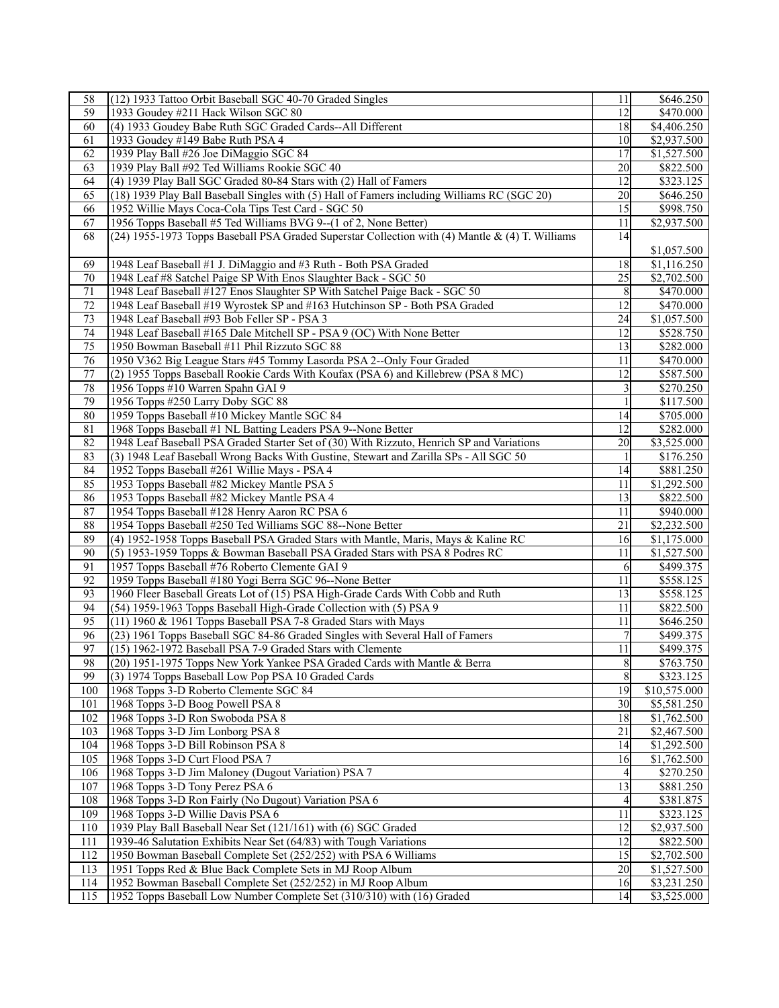| 58              | (12) 1933 Tattoo Orbit Baseball SGC 40-70 Graded Singles                                        | 11               | \$646.250             |
|-----------------|-------------------------------------------------------------------------------------------------|------------------|-----------------------|
| 59              | 1933 Goudey #211 Hack Wilson SGC 80                                                             | 12               | \$470.000             |
| 60              | (4) 1933 Goudey Babe Ruth SGC Graded Cards--All Different                                       | 18               | \$4,406.250           |
| 61              | 1933 Goudey #149 Babe Ruth PSA 4                                                                | 10               | \$2,937.500           |
| 62              | 1939 Play Ball #26 Joe DiMaggio SGC 84                                                          | 17               | \$1,527.500           |
| 63              | 1939 Play Ball #92 Ted Williams Rookie SGC 40                                                   | 20               | \$822.500             |
| 64              | (4) 1939 Play Ball SGC Graded 80-84 Stars with (2) Hall of Famers                               | 12               | \$323.125             |
| 65              | (18) 1939 Play Ball Baseball Singles with (5) Hall of Famers including Williams RC (SGC 20)     | 20               | \$646.250             |
| 66              | 1952 Willie Mays Coca-Cola Tips Test Card - SGC 50                                              | 15               | \$998.750             |
| 67              | 1956 Topps Baseball #5 Ted Williams BVG 9--(1 of 2, None Better)                                | 11               | \$2,937.500           |
| 68              | (24) 1955-1973 Topps Baseball PSA Graded Superstar Collection with (4) Mantle & (4) T. Williams | 14               |                       |
|                 |                                                                                                 |                  | \$1,057.500           |
| 69              | 1948 Leaf Baseball #1 J. DiMaggio and #3 Ruth - Both PSA Graded                                 | 18               | \$1,116.250           |
| 70              | 1948 Leaf #8 Satchel Paige SP With Enos Slaughter Back - SGC 50                                 | 25               | \$2,702.500           |
| 71              | 1948 Leaf Baseball #127 Enos Slaughter SP With Satchel Paige Back - SGC 50                      | 8                | \$470.000             |
| 72              | 1948 Leaf Baseball #19 Wyrostek SP and #163 Hutchinson SP - Both PSA Graded                     | 12               | \$470.000             |
| $\overline{73}$ | 1948 Leaf Baseball #93 Bob Feller SP - PSA 3                                                    | 24               | \$1,057.500           |
| 74              | 1948 Leaf Baseball #165 Dale Mitchell SP - PSA 9 (OC) With None Better                          | 12               | \$528.750             |
| 75              | 1950 Bowman Baseball #11 Phil Rizzuto SGC 88                                                    | 13               | \$282.000             |
| 76              | 1950 V362 Big League Stars #45 Tommy Lasorda PSA 2--Only Four Graded                            | 11               | \$470.000             |
| 77              | (2) 1955 Topps Baseball Rookie Cards With Koufax (PSA 6) and Killebrew (PSA 8 MC)               | 12               | \$587.500             |
| 78              | 1956 Topps #10 Warren Spahn GAI 9                                                               | $\mathfrak{Z}$   | \$270.250             |
| 79              | 1956 Topps #250 Larry Doby SGC 88                                                               |                  | \$117.500             |
| 80              | 1959 Topps Baseball #10 Mickey Mantle SGC 84                                                    | 14               | \$705.000             |
| 81              | 1968 Topps Baseball #1 NL Batting Leaders PSA 9--None Better                                    | 12               | \$282.000             |
| 82              | 1948 Leaf Baseball PSA Graded Starter Set of (30) With Rizzuto, Henrich SP and Variations       | 20               | \$3,525.000           |
| 83              | (3) 1948 Leaf Baseball Wrong Backs With Gustine, Stewart and Zarilla SPs - All SGC 50           |                  | \$176.250             |
| 84              | 1952 Topps Baseball #261 Willie Mays - PSA 4                                                    | 14               | \$881.250             |
| 85              | 1953 Topps Baseball #82 Mickey Mantle PSA 5                                                     | 11               | \$1,292.500           |
| 86              | 1953 Topps Baseball #82 Mickey Mantle PSA 4                                                     | 13               | \$822.500             |
| 87              | 1954 Topps Baseball #128 Henry Aaron RC PSA 6                                                   | 11               | \$940.000             |
| 88              | 1954 Topps Baseball #250 Ted Williams SGC 88--None Better                                       | $\overline{21}$  | \$2,232.500           |
| 89              | (4) 1952-1958 Topps Baseball PSA Graded Stars with Mantle, Maris, Mays & Kaline RC              | 16               | \$1,175.000           |
| 90              | (5) 1953-1959 Topps & Bowman Baseball PSA Graded Stars with PSA 8 Podres RC                     | 11               | \$1,527.500           |
| 91              | 1957 Topps Baseball #76 Roberto Clemente GAI 9                                                  | 6                | \$499.375             |
| 92              | 1959 Topps Baseball #180 Yogi Berra SGC 96--None Better                                         | 11               | \$558.125             |
| 93              | 1960 Fleer Baseball Greats Lot of (15) PSA High-Grade Cards With Cobb and Ruth                  | 13               | \$558.125             |
| 94              | (54) 1959-1963 Topps Baseball High-Grade Collection with (5) PSA 9                              | 11               | \$822.500             |
| 95              | (11) 1960 & 1961 Topps Baseball PSA 7-8 Graded Stars with Mays                                  | 11               | \$646.250             |
| 96              | (23) 1961 Topps Baseball SGC 84-86 Graded Singles with Several Hall of Famers                   |                  | \$499.375             |
| 97              | (15) 1962-1972 Baseball PSA 7-9 Graded Stars with Clemente                                      | 11               | \$499.375             |
| 98              | (20) 1951-1975 Topps New York Yankee PSA Graded Cards with Mantle & Berra                       | $\boldsymbol{8}$ | \$763.750             |
| 99              | (3) 1974 Topps Baseball Low Pop PSA 10 Graded Cards                                             | 8                | \$323.125             |
| 100             | 1968 Topps 3-D Roberto Clemente SGC 84                                                          | 19               | \$10,575.000          |
| 101             | 1968 Topps 3-D Boog Powell PSA 8                                                                | 30               | \$5,581.250           |
| 102             | 1968 Topps 3-D Ron Swoboda PSA 8                                                                | 18               | \$1,762.500           |
| 103             | 1968 Topps 3-D Jim Lonborg PSA 8                                                                | 21               | \$2,467.500           |
| 104             | 1968 Topps 3-D Bill Robinson PSA 8                                                              | 14               | \$1,292.500           |
| 105             | 1968 Topps 3-D Curt Flood PSA 7                                                                 | 16               | \$1,762.500           |
| 106             | 1968 Topps 3-D Jim Maloney (Dugout Variation) PSA 7                                             | $\overline{4}$   | \$270.250             |
| 107             | 1968 Topps 3-D Tony Perez PSA 6                                                                 | 13               | $\overline{$881.250}$ |
| 108             | 1968 Topps 3-D Ron Fairly (No Dugout) Variation PSA 6                                           | $\overline{4}$   | \$381.875             |
| 109             | 1968 Topps 3-D Willie Davis PSA 6                                                               | 11               | \$323.125             |
| 110             | 1939 Play Ball Baseball Near Set (121/161) with (6) SGC Graded                                  | 12               | \$2,937.500           |
| 111             | 1939-46 Salutation Exhibits Near Set (64/83) with Tough Variations                              | 12               | \$822.500             |
| 112             | 1950 Bowman Baseball Complete Set (252/252) with PSA 6 Williams                                 | 15               | \$2,702.500           |
| 113             | 1951 Topps Red & Blue Back Complete Sets in MJ Roop Album                                       | 20               | \$1,527.500           |
| 114             | 1952 Bowman Baseball Complete Set (252/252) in MJ Roop Album                                    | 16               | \$3,231.250           |
| 115             | 1952 Topps Baseball Low Number Complete Set (310/310) with (16) Graded                          | 14               | \$3,525.000           |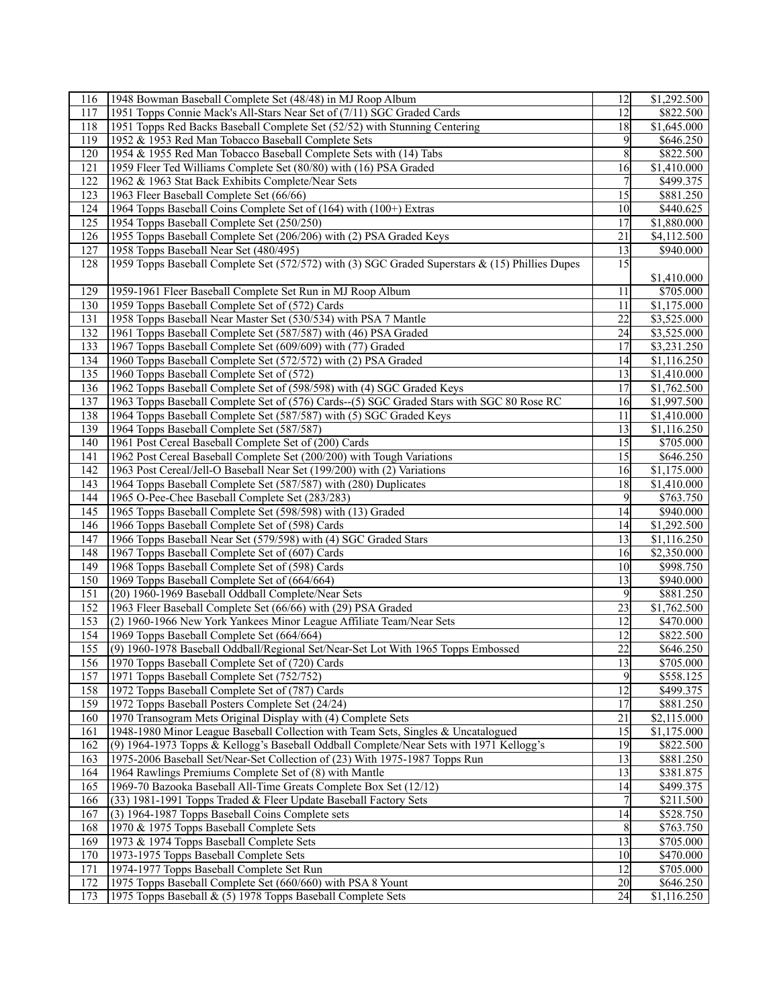| 116 | 1948 Bowman Baseball Complete Set (48/48) in MJ Roop Album                                                                            | 12              | \$1,292.500             |
|-----|---------------------------------------------------------------------------------------------------------------------------------------|-----------------|-------------------------|
| 117 | 1951 Topps Connie Mack's All-Stars Near Set of (7/11) SGC Graded Cards                                                                | 12              | \$822.500               |
| 118 | 1951 Topps Red Backs Baseball Complete Set (52/52) with Stunning Centering                                                            | 18              | \$1,645.000             |
| 119 | 1952 & 1953 Red Man Tobacco Baseball Complete Sets                                                                                    | 9               | \$646.250               |
| 120 | 1954 & 1955 Red Man Tobacco Baseball Complete Sets with (14) Tabs                                                                     | 8               | \$822.500               |
| 121 | 1959 Fleer Ted Williams Complete Set (80/80) with (16) PSA Graded                                                                     | 16              | \$1,410.000             |
| 122 | 1962 & 1963 Stat Back Exhibits Complete/Near Sets                                                                                     | 7               | \$499.375               |
| 123 | 1963 Fleer Baseball Complete Set (66/66)                                                                                              | 15              | \$881.250               |
| 124 | 1964 Topps Baseball Coins Complete Set of (164) with (100+) Extras                                                                    | 10              | \$440.625               |
| 125 | 1954 Topps Baseball Complete Set (250/250)                                                                                            | $\overline{17}$ | $\overline{$1,880.000}$ |
| 126 | 1955 Topps Baseball Complete Set (206/206) with (2) PSA Graded Keys                                                                   | 21              | \$4,112.500             |
| 127 | 1958 Topps Baseball Near Set (480/495)                                                                                                | 13              | \$940.000               |
|     |                                                                                                                                       | $\overline{15}$ |                         |
| 128 | 1959 Topps Baseball Complete Set (572/572) with (3) SGC Graded Superstars & (15) Phillies Dupes                                       |                 |                         |
|     |                                                                                                                                       |                 | \$1,410.000             |
| 129 | 1959-1961 Fleer Baseball Complete Set Run in MJ Roop Album                                                                            | 11              | \$705.000               |
| 130 | 1959 Topps Baseball Complete Set of (572) Cards                                                                                       | 11              | \$1,175.000             |
| 131 | 1958 Topps Baseball Near Master Set (530/534) with PSA 7 Mantle                                                                       | 22              | \$3,525.000             |
| 132 | 1961 Topps Baseball Complete Set (587/587) with (46) PSA Graded                                                                       | 24              | \$3,525.000             |
| 133 | 1967 Topps Baseball Complete Set (609/609) with (77) Graded                                                                           | 17              | \$3,231.250             |
| 134 | 1960 Topps Baseball Complete Set (572/572) with (2) PSA Graded                                                                        | 14              | $\overline{$}1,116.250$ |
| 135 | 1960 Topps Baseball Complete Set of (572)                                                                                             | 13              | \$1,410.000             |
| 136 | 1962 Topps Baseball Complete Set of (598/598) with (4) SGC Graded Keys                                                                | 17              | \$1,762.500             |
| 137 | 1963 Topps Baseball Complete Set of (576) Cards--(5) SGC Graded Stars with SGC 80 Rose RC                                             | 16              | \$1,997.500             |
| 138 | 1964 Topps Baseball Complete Set (587/587) with (5) SGC Graded Keys                                                                   | 11              | \$1,410.000             |
| 139 | 1964 Topps Baseball Complete Set (587/587)                                                                                            | 13              | \$1,116.250             |
| 140 | 1961 Post Cereal Baseball Complete Set of (200) Cards                                                                                 | 15              | \$705.000               |
| 141 | 1962 Post Cereal Baseball Complete Set (200/200) with Tough Variations                                                                | 15              | \$646.250               |
| 142 | 1963 Post Cereal/Jell-O Baseball Near Set (199/200) with (2) Variations                                                               | 16              | \$1,175.000             |
| 143 | 1964 Topps Baseball Complete Set (587/587) with (280) Duplicates                                                                      | 18              | \$1,410.000             |
| 144 | 1965 O-Pee-Chee Baseball Complete Set (283/283)                                                                                       | 9               | \$763.750               |
| 145 | 1965 Topps Baseball Complete Set (598/598) with (13) Graded                                                                           | 14              | \$940.000               |
| 146 | 1966 Topps Baseball Complete Set of (598) Cards                                                                                       | 14              | \$1,292.500             |
| 147 | 1966 Topps Baseball Near Set (579/598) with (4) SGC Graded Stars                                                                      | 13              | \$1,116.250             |
| 148 | 1967 Topps Baseball Complete Set of (607) Cards                                                                                       | 16              | \$2,350.000             |
| 149 | 1968 Topps Baseball Complete Set of (598) Cards                                                                                       | 10              | \$998.750               |
| 150 | 1969 Topps Baseball Complete Set of (664/664)                                                                                         | 13              | \$940.000               |
| 151 | (20) 1960-1969 Baseball Oddball Complete/Near Sets                                                                                    | 9               | \$881.250               |
| 152 |                                                                                                                                       | 23              | \$1,762.500             |
|     | 1963 Fleer Baseball Complete Set (66/66) with (29) PSA Graded<br>(2) 1960-1966 New York Yankees Minor League Affiliate Team/Near Sets |                 |                         |
| 153 |                                                                                                                                       | 12<br>12        | \$470.000               |
| 154 | 1969 Topps Baseball Complete Set (664/664)                                                                                            |                 | \$822.500               |
| 155 | (9) 1960-1978 Baseball Oddball/Regional Set/Near-Set Lot With 1965 Topps Embossed                                                     | $\overline{22}$ | \$646.250               |
| 156 | 1970 Topps Baseball Complete Set of (720) Cards                                                                                       | $\overline{13}$ | \$705.000               |
| 157 | 1971 Topps Baseball Complete Set (752/752)                                                                                            | 9               | \$558.125               |
| 158 | 1972 Topps Baseball Complete Set of (787) Cards                                                                                       | 12              | \$499.375               |
| 159 | 1972 Topps Baseball Posters Complete Set (24/24)                                                                                      | 17              | \$881.250               |
| 160 | 1970 Transogram Mets Original Display with (4) Complete Sets                                                                          | 21              | \$2,115.000             |
| 161 | 1948-1980 Minor League Baseball Collection with Team Sets, Singles & Uncatalogued                                                     | $\overline{15}$ | \$1,175.000             |
| 162 | (9) 1964-1973 Topps & Kellogg's Baseball Oddball Complete/Near Sets with 1971 Kellogg's                                               | 19              | \$822.500               |
| 163 | 1975-2006 Baseball Set/Near-Set Collection of (23) With 1975-1987 Topps Run                                                           | 13              | \$881.250               |
| 164 | 1964 Rawlings Premiums Complete Set of (8) with Mantle                                                                                | 13              | \$381.875               |
| 165 | 1969-70 Bazooka Baseball All-Time Greats Complete Box Set (12/12)                                                                     | 14              | \$499.375               |
| 166 | (33) 1981-1991 Topps Traded & Fleer Update Baseball Factory Sets                                                                      |                 | \$211.500               |
| 167 | (3) 1964-1987 Topps Baseball Coins Complete sets                                                                                      | 14              | \$528.750               |
| 168 | 1970 & 1975 Topps Baseball Complete Sets                                                                                              | 8               | \$763.750               |
| 169 | 1973 & 1974 Topps Baseball Complete Sets                                                                                              | 13              | \$705.000               |
| 170 | 1973-1975 Topps Baseball Complete Sets                                                                                                | 10              | \$470.000               |
| 171 | 1974-1977 Topps Baseball Complete Set Run                                                                                             | 12              | \$705.000               |
| 172 | 1975 Topps Baseball Complete Set (660/660) with PSA 8 Yount                                                                           | 20              | \$646.250               |
| 173 | 1975 Topps Baseball & (5) 1978 Topps Baseball Complete Sets                                                                           | 24              | \$1,116.250             |
|     |                                                                                                                                       |                 |                         |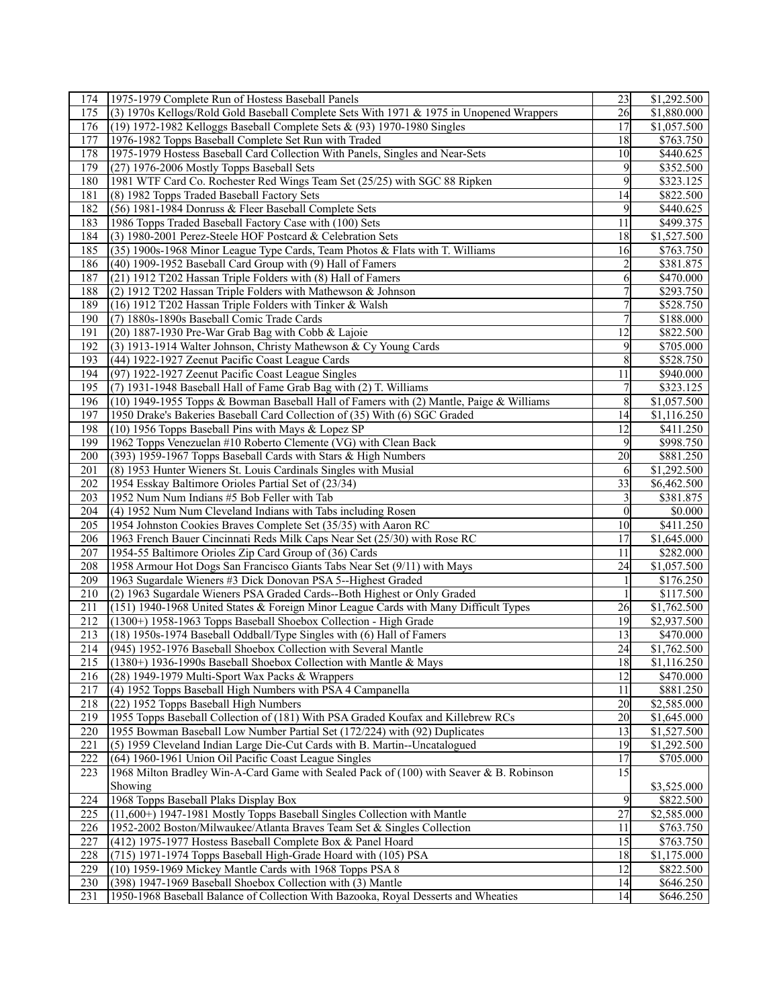| 174              | 1975-1979 Complete Run of Hostess Baseball Panels                                                                     | 23              | \$1,292.500 |
|------------------|-----------------------------------------------------------------------------------------------------------------------|-----------------|-------------|
| 175              | (3) 1970s Kellogs/Rold Gold Baseball Complete Sets With 1971 & 1975 in Unopened Wrappers                              | 26              | \$1,880.000 |
| 176              | (19) 1972-1982 Kelloggs Baseball Complete Sets & (93) 1970-1980 Singles                                               | 17              | \$1,057.500 |
| 177              | 1976-1982 Topps Baseball Complete Set Run with Traded                                                                 | 18              | \$763.750   |
| 178              | 1975-1979 Hostess Baseball Card Collection With Panels, Singles and Near-Sets                                         | 10              | \$440.625   |
| 179              | (27) 1976-2006 Mostly Topps Baseball Sets                                                                             | 9               | \$352.500   |
| 180              | 1981 WTF Card Co. Rochester Red Wings Team Set (25/25) with SGC 88 Ripken                                             | 9               | \$323.125   |
| 181              | (8) 1982 Topps Traded Baseball Factory Sets                                                                           | 14              | \$822.500   |
| 182              | (56) 1981-1984 Donruss & Fleer Baseball Complete Sets                                                                 | 9               | \$440.625   |
| 183              |                                                                                                                       | 11              |             |
|                  | 1986 Topps Traded Baseball Factory Case with (100) Sets<br>(3) 1980-2001 Perez-Steele HOF Postcard & Celebration Sets |                 | \$499.375   |
| 184              |                                                                                                                       | 18              | \$1,527.500 |
| 185              | (35) 1900s-1968 Minor League Type Cards, Team Photos & Flats with T. Williams                                         | 16              | \$763.750   |
| 186              | (40) 1909-1952 Baseball Card Group with (9) Hall of Famers                                                            |                 | \$381.875   |
| 187              | (21) 1912 T202 Hassan Triple Folders with (8) Hall of Famers                                                          | 6               | \$470.000   |
| 188              | (2) 1912 T202 Hassan Triple Folders with Mathewson $& Johnson$                                                        |                 | \$293.750   |
| 189              | (16) 1912 T202 Hassan Triple Folders with Tinker & Walsh                                                              |                 | \$528.750   |
| 190              | (7) 1880s-1890s Baseball Comic Trade Cards                                                                            | $\overline{7}$  | \$188.000   |
| 191              | (20) 1887-1930 Pre-War Grab Bag with Cobb & Lajoie                                                                    | 12              | \$822.500   |
| 192              | (3) 1913-1914 Walter Johnson, Christy Mathewson & Cy Young Cards                                                      | 9               | \$705.000   |
| 193              | (44) 1922-1927 Zeenut Pacific Coast League Cards                                                                      | 8               | \$528.750   |
| 194              | (97) 1922-1927 Zeenut Pacific Coast League Singles                                                                    | 11              | \$940.000   |
| 195              | (7) 1931-1948 Baseball Hall of Fame Grab Bag with (2) T. Williams                                                     | 7               | \$323.125   |
| 196              | (10) 1949-1955 Topps & Bowman Baseball Hall of Famers with (2) Mantle, Paige & Williams                               | 8               | \$1,057.500 |
| 197              | 1950 Drake's Bakeries Baseball Card Collection of (35) With (6) SGC Graded                                            | 14              | \$1,116.250 |
| 198              | $(10)$ 1956 Topps Baseball Pins with Mays & Lopez SP                                                                  | 12              | \$411.250   |
| 199              | 1962 Topps Venezuelan #10 Roberto Clemente (VG) with Clean Back                                                       | 9               | \$998.750   |
| 200              | (393) 1959-1967 Topps Baseball Cards with Stars & High Numbers                                                        | 20              | \$881.250   |
| 201              | (8) 1953 Hunter Wieners St. Louis Cardinals Singles with Musial                                                       | 6               | \$1,292.500 |
| 202              | 1954 Esskay Baltimore Orioles Partial Set of (23/34)                                                                  | 33              | \$6,462.500 |
| 203              | 1952 Num Num Indians #5 Bob Feller with Tab                                                                           | 3               | \$381.875   |
| 204              | (4) 1952 Num Num Cleveland Indians with Tabs including Rosen                                                          | $\theta$        | \$0.000     |
| 205              | 1954 Johnston Cookies Braves Complete Set (35/35) with Aaron RC                                                       | 10              | \$411.250   |
| 206              |                                                                                                                       | 17              | \$1,645.000 |
|                  | 1963 French Bauer Cincinnati Reds Milk Caps Near Set (25/30) with Rose RC                                             |                 |             |
| 207              | 1954-55 Baltimore Orioles Zip Card Group of (36) Cards                                                                | 11              | \$282.000   |
| 208              | 1958 Armour Hot Dogs San Francisco Giants Tabs Near Set (9/11) with Mays                                              | 24              | \$1,057.500 |
| 209              | 1963 Sugardale Wieners #3 Dick Donovan PSA 5--Highest Graded                                                          |                 | \$176.250   |
| 210              | (2) 1963 Sugardale Wieners PSA Graded Cards--Both Highest or Only Graded                                              | $\mathbf{1}$    | \$117.500   |
| 211              | (151) 1940-1968 United States & Foreign Minor League Cards with Many Difficult Types                                  | 26              | \$1,762.500 |
| 212              | (1300+) 1958-1963 Topps Baseball Shoebox Collection - High Grade                                                      | 19              | \$2,937.500 |
| 213              | (18) 1950s-1974 Baseball Oddball/Type Singles with (6) Hall of Famers                                                 | 13              | \$470.000   |
| 214              | (945) 1952-1976 Baseball Shoebox Collection with Several Mantle                                                       | 24              | \$1,762.500 |
|                  | 215 (1380+) 1936-1990s Baseball Shoebox Collection with Mantle & Mays                                                 | 18              | \$1,116.250 |
| 216              | (28) 1949-1979 Multi-Sport Wax Packs & Wrappers                                                                       | $\overline{12}$ | \$470.000   |
| 217              | (4) 1952 Topps Baseball High Numbers with PSA 4 Campanella                                                            | 11              | \$881.250   |
| 218              | (22) 1952 Topps Baseball High Numbers                                                                                 | 20              | \$2,585.000 |
| 219              | 1955 Topps Baseball Collection of (181) With PSA Graded Koufax and Killebrew RCs                                      | 20              | \$1,645.000 |
| $\overline{220}$ | 1955 Bowman Baseball Low Number Partial Set (172/224) with (92) Duplicates                                            | 13              | \$1,527.500 |
| 221              | (5) 1959 Cleveland Indian Large Die-Cut Cards with B. Martin--Uncatalogued                                            | 19              | \$1,292.500 |
| 222              | (64) 1960-1961 Union Oil Pacific Coast League Singles                                                                 | 17              | \$705.000   |
| 223              | 1968 Milton Bradley Win-A-Card Game with Sealed Pack of (100) with Seaver & B. Robinson                               | 15              |             |
|                  | Showing                                                                                                               |                 | \$3,525.000 |
| 224              | 1968 Topps Baseball Plaks Display Box                                                                                 | 9               | \$822.500   |
| 225              | (11,600+) 1947-1981 Mostly Topps Baseball Singles Collection with Mantle                                              | 27              | \$2,585.000 |
| 226              | 1952-2002 Boston/Milwaukee/Atlanta Braves Team Set & Singles Collection                                               | 11              | \$763.750   |
| 227              | (412) 1975-1977 Hostess Baseball Complete Box & Panel Hoard                                                           | 15              | \$763.750   |
| 228              | (715) 1971-1974 Topps Baseball High-Grade Hoard with (105) PSA                                                        | 18              | \$1,175.000 |
| 229              |                                                                                                                       | 12              | \$822.500   |
|                  | (10) 1959-1969 Mickey Mantle Cards with 1968 Topps PSA 8                                                              |                 |             |
| 230              | (398) 1947-1969 Baseball Shoebox Collection with (3) Mantle                                                           | 14              | \$646.250   |
| 231              | 1950-1968 Baseball Balance of Collection With Bazooka, Royal Desserts and Wheaties                                    | 14              | \$646.250   |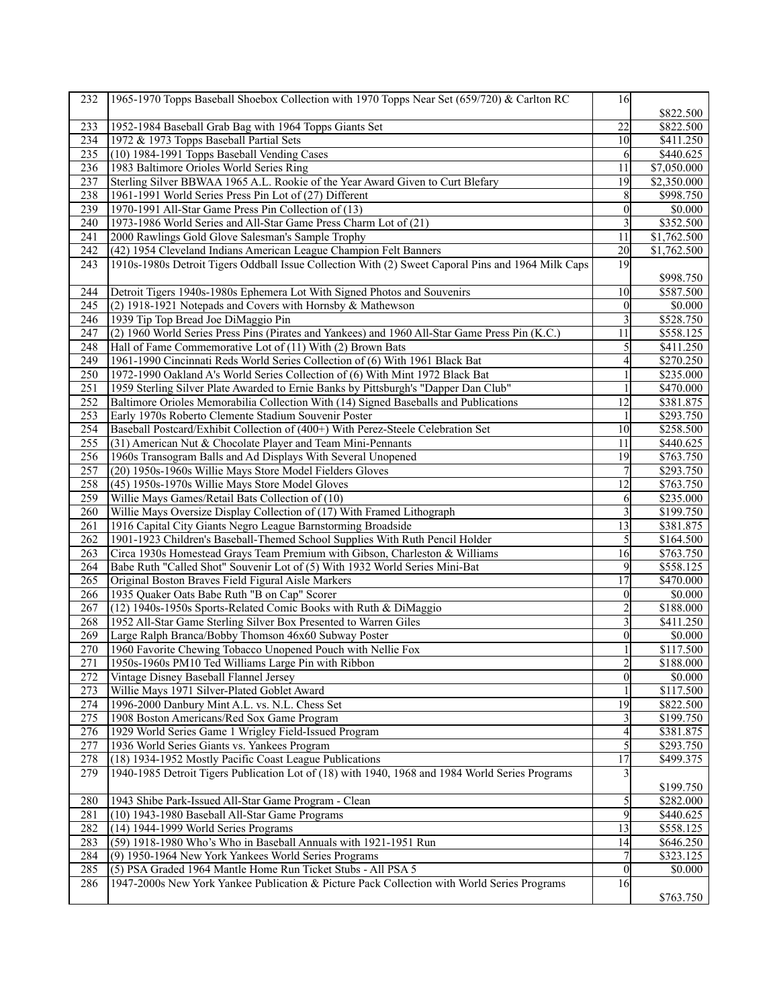| 232        | 1965-1970 Topps Baseball Shoebox Collection with 1970 Topps Near Set (659/720) & Carlton RC           | 16                   |                        |
|------------|-------------------------------------------------------------------------------------------------------|----------------------|------------------------|
|            |                                                                                                       |                      | \$822.500              |
| 233        | 1952-1984 Baseball Grab Bag with 1964 Topps Giants Set                                                | 22                   | \$822.500              |
| 234        | 1972 & 1973 Topps Baseball Partial Sets                                                               | 10                   | \$411.250              |
| 235        | $(10)$ 1984-1991 Topps Baseball Vending Cases                                                         | 6                    | \$440.625              |
| 236        | 1983 Baltimore Orioles World Series Ring                                                              | 11                   | \$7,050.000            |
| 237        | Sterling Silver BBWAA 1965 A.L. Rookie of the Year Award Given to Curt Blefary                        | 19                   | \$2,350.000            |
| 238        | 1961-1991 World Series Press Pin Lot of (27) Different                                                | 8                    | \$998.750              |
| 239        | 1970-1991 All-Star Game Press Pin Collection of (13)                                                  | $\boldsymbol{0}$     | $\overline{$}0.000$    |
| 240        | 1973-1986 World Series and All-Star Game Press Charm Lot of (21)                                      | 3                    | \$352.500              |
| 241        | 2000 Rawlings Gold Glove Salesman's Sample Trophy                                                     | $\overline{11}$      | \$1,762.500            |
| 242        | (42) 1954 Cleveland Indians American League Champion Felt Banners                                     | 20                   | \$1,762.500            |
| 243        | 1910s-1980s Detroit Tigers Oddball Issue Collection With (2) Sweet Caporal Pins and 1964 Milk Caps    | 19                   |                        |
| 244        | Detroit Tigers 1940s-1980s Ephemera Lot With Signed Photos and Souvenirs                              | 10                   | \$998.750<br>\$587.500 |
| 245        | (2) 1918-1921 Notepads and Covers with Hornsby & Mathewson                                            | $\theta$             |                        |
| 246        | 1939 Tip Top Bread Joe DiMaggio Pin                                                                   | 3                    | \$0.000<br>\$528.750   |
|            | (2) 1960 World Series Press Pins (Pirates and Yankees) and 1960 All-Star Game Press Pin (K.C.)        |                      |                        |
| 247        |                                                                                                       | 11                   | \$558.125              |
| 248        | Hall of Fame Commemorative Lot of $(11)$ With $\overline{(2)}$ Brown Bats                             | 5                    | \$411.250              |
| 249<br>250 | 1961-1990 Cincinnati Reds World Series Collection of (6) With 1961 Black Bat                          | 4                    | \$270.250              |
|            | 1972-1990 Oakland A's World Series Collection of (6) With Mint 1972 Black Bat                         |                      | \$235.000              |
| 251        | 1959 Sterling Silver Plate Awarded to Ernie Banks by Pittsburgh's "Dapper Dan Club"                   |                      | \$470.000              |
| 252        | Baltimore Orioles Memorabilia Collection With (14) Signed Baseballs and Publications                  | 12                   | \$381.875              |
| 253        | Early 1970s Roberto Clemente Stadium Souvenir Poster                                                  | 1                    | \$293.750              |
| 254        | Baseball Postcard/Exhibit Collection of (400+) With Perez-Steele Celebration Set                      | 10                   | \$258.500              |
| 255        | (31) American Nut & Chocolate Player and Team Mini-Pennants                                           | 11                   | \$440.625              |
| 256        | 1960s Transogram Balls and Ad Displays With Several Unopened                                          | 19                   | \$763.750              |
| 257        | (20) 1950s-1960s Willie Mays Store Model Fielders Gloves                                              | 7                    | \$293.750              |
| 258        | (45) 1950s-1970s Willie Mays Store Model Gloves                                                       | 12                   | \$763.750              |
| 259        | Willie Mays Games/Retail Bats Collection of (10)                                                      | 6                    | \$235.000              |
| 260        | Willie Mays Oversize Display Collection of (17) With Framed Lithograph                                | 3                    | \$199.750              |
| 261        | 1916 Capital City Giants Negro League Barnstorming Broadside                                          | 13                   | \$381.875              |
| 262        | 1901-1923 Children's Baseball-Themed School Supplies With Ruth Pencil Holder                          | 5                    | \$164.500              |
| 263        | Circa 1930s Homestead Grays Team Premium with Gibson, Charleston & Williams                           | 16                   | \$763.750              |
| 264        | Babe Ruth "Called Shot" Souvenir Lot of (5) With 1932 World Series Mini-Bat                           | 9                    | \$558.125              |
| 265        | Original Boston Braves Field Figural Aisle Markers                                                    | 17                   | \$470.000              |
| 266        | 1935 Quaker Oats Babe Ruth "B on Cap" Scorer                                                          | $\theta$             | \$0.000                |
| 267        | (12) 1940s-1950s Sports-Related Comic Books with Ruth & DiMaggio                                      | 2                    | \$188.000              |
| 268        | 1952 All-Star Game Sterling Silver Box Presented to Warren Giles                                      | 3                    | \$411.250              |
| 269        | Large Ralph Branca/Bobby Thomson 46x60 Subway Poster                                                  | 0                    | \$0.000                |
| 270        | 1960 Favorite Chewing Tobacco Unopened Pouch with Nellie Fox                                          |                      | $\overline{$}117.500$  |
| 271        | 1950s-1960s PM10 Ted Williams Large Pin with Ribbon                                                   |                      | \$188.000              |
| 272        | Vintage Disney Baseball Flannel Jersey                                                                | $\theta$             | \$0.000                |
| 273        | Willie Mays 1971 Silver-Plated Goblet Award                                                           |                      | \$117.500              |
| 274        | 1996-2000 Danbury Mint A.L. vs. N.L. Chess Set                                                        | 19                   | \$822.500              |
| 275        | 1908 Boston Americans/Red Sox Game Program                                                            | 3                    | \$199.750              |
| 276        | 1929 World Series Game 1 Wrigley Field-Issued Program<br>1936 World Series Giants vs. Yankees Program | 4                    | \$381.875              |
| 277<br>278 | (18) 1934-1952 Mostly Pacific Coast League Publications                                               | 5<br>$\overline{17}$ | \$293.750<br>\$499.375 |
| 279        |                                                                                                       |                      |                        |
|            | 1940-1985 Detroit Tigers Publication Lot of (18) with 1940, 1968 and 1984 World Series Programs       | 3                    | \$199.750              |
| 280        | 1943 Shibe Park-Issued All-Star Game Program - Clean                                                  | 5                    | \$282.000              |
| 281        | (10) 1943-1980 Baseball All-Star Game Programs                                                        | 9                    | \$440.625              |
| 282        | (14) 1944-1999 World Series Programs                                                                  | 13                   | \$558.125              |
| 283        | (59) 1918-1980 Who's Who in Baseball Annuals with 1921-1951 Run                                       | 14                   | \$646.250              |
| 284        | (9) 1950-1964 New York Yankees World Series Programs                                                  | $\boldsymbol{7}$     | \$323.125              |
| 285        | (5) PSA Graded 1964 Mantle Home Run Ticket Stubs - All PSA 5                                          | $\mathbf{0}$         | \$0.000                |
| 286        | 1947-2000s New York Yankee Publication & Picture Pack Collection with World Series Programs           | 16                   |                        |
|            |                                                                                                       |                      | \$763.750              |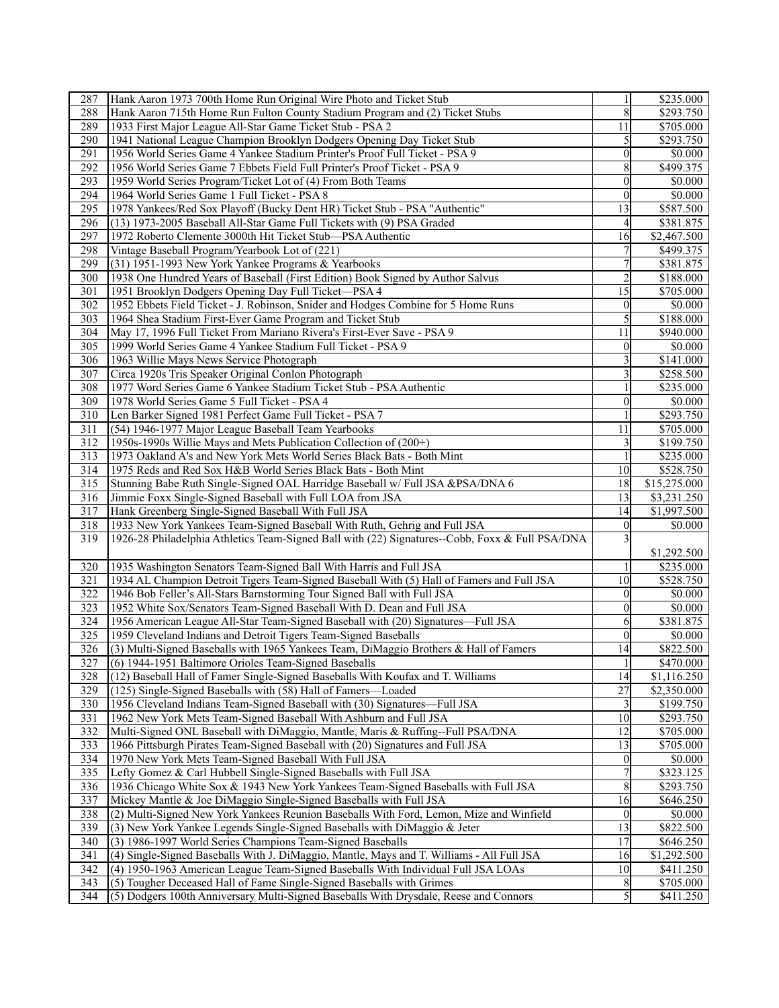| 287                     | Hank Aaron 1973 700th Home Run Original Wire Photo and Ticket Stub                                               |                  | \$235.000              |
|-------------------------|------------------------------------------------------------------------------------------------------------------|------------------|------------------------|
| 288                     | Hank Aaron 715th Home Run Fulton County Stadium Program and (2) Ticket Stubs                                     | 8                | \$293.750              |
| 289                     | 1933 First Major League All-Star Game Ticket Stub - PSA 2                                                        | 11               | \$705.000              |
| 290                     | 1941 National League Champion Brooklyn Dodgers Opening Day Ticket Stub                                           | 5                | \$293.750              |
| 291                     | 1956 World Series Game 4 Yankee Stadium Printer's Proof Full Ticket - PSA 9                                      | $\boldsymbol{0}$ | \$0.000                |
| 292                     | 1956 World Series Game 7 Ebbets Field Full Printer's Proof Ticket - PSA 9                                        | 8                | \$499.375              |
| 293                     | 1959 World Series Program/Ticket Lot of (4) From Both Teams                                                      | $\boldsymbol{0}$ | \$0.000                |
| 294                     | 1964 World Series Game 1 Full Ticket - PSA 8                                                                     | $\theta$         | \$0.000                |
| 295                     | 1978 Yankees/Red Sox Playoff (Bucky Dent HR) Ticket Stub - PSA "Authentic"                                       | 13               | \$587.500              |
|                         |                                                                                                                  |                  |                        |
| 296                     | (13) 1973-2005 Baseball All-Star Game Full Tickets with (9) PSA Graded                                           | 4                | \$381.875              |
| 297                     | 1972 Roberto Clemente 3000th Hit Ticket Stub-PSA Authentic                                                       | 16               | \$2,467.500            |
| 298                     | Vintage Baseball Program/Yearbook Lot of (221)                                                                   |                  | \$499.375              |
| 299                     | (31) 1951-1993 New York Yankee Programs & Yearbooks                                                              | 7                | \$381.875              |
| 300                     | 1938 One Hundred Years of Baseball (First Edition) Book Signed by Author Salvus                                  |                  | \$188.000              |
| 301                     | 1951 Brooklyn Dodgers Opening Day Full Ticket—PSA 4                                                              | 15               | \$705.000              |
| 302                     | 1952 Ebbets Field Ticket - J. Robinson, Snider and Hodges Combine for 5 Home Runs                                | $\overline{0}$   | \$0.000                |
| 303                     | 1964 Shea Stadium First-Ever Game Program and Ticket Stub                                                        | 5                | \$188.000              |
| 304                     | May 17, 1996 Full Ticket From Mariano Rivera's First-Ever Save - PSA 9                                           | 11               | \$940.000              |
| 305                     | 1999 World Series Game 4 Yankee Stadium Full Ticket - PSA 9                                                      | $\overline{0}$   | \$0.000                |
| 306                     | 1963 Willie Mays News Service Photograph                                                                         |                  | \$141.000              |
| 307                     | Circa 1920s Tris Speaker Original Conlon Photograph                                                              | 3                | \$258.500              |
| 308                     | 1977 Word Series Game 6 Yankee Stadium Ticket Stub - PSA Authentic                                               |                  | \$235.000              |
| 309                     | 1978 World Series Game 5 Full Ticket - PSA 4                                                                     | $\theta$         | \$0.000                |
| 310                     | Len Barker Signed 1981 Perfect Game Full Ticket - PSA 7                                                          |                  | \$293.750              |
| 311                     | (54) 1946-1977 Major League Baseball Team Yearbooks                                                              | 11               | \$705.000              |
| 312                     | 1950s-1990s Willie Mays and Mets Publication Collection of (200+)                                                |                  | \$199.750              |
| 313                     | 1973 Oakland A's and New York Mets World Series Black Bats - Both Mint                                           |                  | \$235.000              |
| 314                     | 1975 Reds and Red Sox H&B World Series Black Bats - Both Mint                                                    | 10               | \$528.750              |
| 315                     | Stunning Babe Ruth Single-Signed OAL Harridge Baseball w/ Full JSA &PSA/DNA 6                                    | 18               | \$15,275.000           |
| 316                     |                                                                                                                  | 13               |                        |
| 317                     | Jimmie Foxx Single-Signed Baseball with Full LOA from JSA<br>Hank Greenberg Single-Signed Baseball With Full JSA | 14               | \$3,231.250            |
|                         |                                                                                                                  | $\theta$         | \$1,997.500<br>\$0.000 |
| 318<br>$\overline{319}$ | 1933 New York Yankees Team-Signed Baseball With Ruth, Gehrig and Full JSA                                        |                  |                        |
|                         | 1926-28 Philadelphia Athletics Team-Signed Ball with (22) Signatures--Cobb, Foxx & Full PSA/DNA                  |                  |                        |
|                         |                                                                                                                  |                  | \$1,292.500            |
| 320                     | 1935 Washington Senators Team-Signed Ball With Harris and Full JSA                                               |                  | \$235.000              |
| 321                     | 1934 AL Champion Detroit Tigers Team-Signed Baseball With (5) Hall of Famers and Full JSA                        | 10               | \$528.750              |
| 322                     | 1946 Bob Feller's All-Stars Barnstorming Tour Signed Ball with Full JSA                                          | $\theta$         | \$0.000                |
| 323                     | 1952 White Sox/Senators Team-Signed Baseball With D. Dean and Full JSA                                           | $\mathbf{0}$     | \$0.000                |
| 324                     | 1956 American League All-Star Team-Signed Baseball with (20) Signatures-Full JSA                                 | 6                | \$381.875              |
| 325                     | 1959 Cleveland Indians and Detroit Tigers Team-Signed Baseballs                                                  | $\overline{0}$   | \$0.000                |
| 326                     | (3) Multi-Signed Baseballs with 1965 Yankees Team, DiMaggio Brothers & Hall of Famers                            | 14               | \$822.500              |
| $\overline{327}$        | (6) 1944-1951 Baltimore Orioles Team-Signed Baseballs                                                            | $\mathbf{1}$     | \$470.000              |
| 328                     | (12) Baseball Hall of Famer Single-Signed Baseballs With Koufax and T. Williams                                  | 14               | \$1,116.250            |
| 329                     | $(125)$ Single-Signed Baseballs with $(58)$ Hall of Famers—Loaded                                                | 27               | \$2,350.000            |
| 330                     | 1956 Cleveland Indians Team-Signed Baseball with (30) Signatures-Full JSA                                        | 3                | \$199.750              |
| 331                     | 1962 New York Mets Team-Signed Baseball With Ashburn and Full JSA                                                | 10               | \$293.750              |
| 332                     | Multi-Signed ONL Baseball with DiMaggio, Mantle, Maris & Ruffing--Full PSA/DNA                                   | 12               | \$705.000              |
| 333                     | 1966 Pittsburgh Pirates Team-Signed Baseball with (20) Signatures and Full JSA                                   | 13               | \$705.000              |
| 334                     | 1970 New York Mets Team-Signed Baseball With Full JSA                                                            | $\boldsymbol{0}$ | \$0.000                |
| 335                     | Lefty Gomez & Carl Hubbell Single-Signed Baseballs with Full JSA                                                 |                  | \$323.125              |
| 336                     | 1936 Chicago White Sox & 1943 New York Yankees Team-Signed Baseballs with Full JSA                               | 8                | \$293.750              |
| 337                     | Mickey Mantle & Joe DiMaggio Single-Signed Baseballs with Full JSA                                               | 16               | \$646.250              |
| 338                     | (2) Multi-Signed New York Yankees Reunion Baseballs With Ford, Lemon, Mize and Winfield                          | $\boldsymbol{0}$ | \$0.000                |
| 339                     | (3) New York Yankee Legends Single-Signed Baseballs with DiMaggio & Jeter                                        | 13               | \$822.500              |
| 340                     | (3) 1986-1997 World Series Champions Team-Signed Baseballs                                                       | 17               | \$646.250              |
| 341                     | (4) Single-Signed Baseballs With J. DiMaggio, Mantle, Mays and T. Williams - All Full JSA                        | 16               | \$1,292.500            |
|                         |                                                                                                                  | 10               |                        |
| 342                     | (4) 1950-1963 American League Team-Signed Baseballs With Individual Full JSA LOAs                                |                  | \$411.250              |
| 343                     | (5) Tougher Deceased Hall of Fame Single-Signed Baseballs with Grimes                                            | 8                | \$705.000              |
| 344                     | (5) Dodgers 100th Anniversary Multi-Signed Baseballs With Drysdale, Reese and Connors                            | $\mathcal{S}$    | \$411.250              |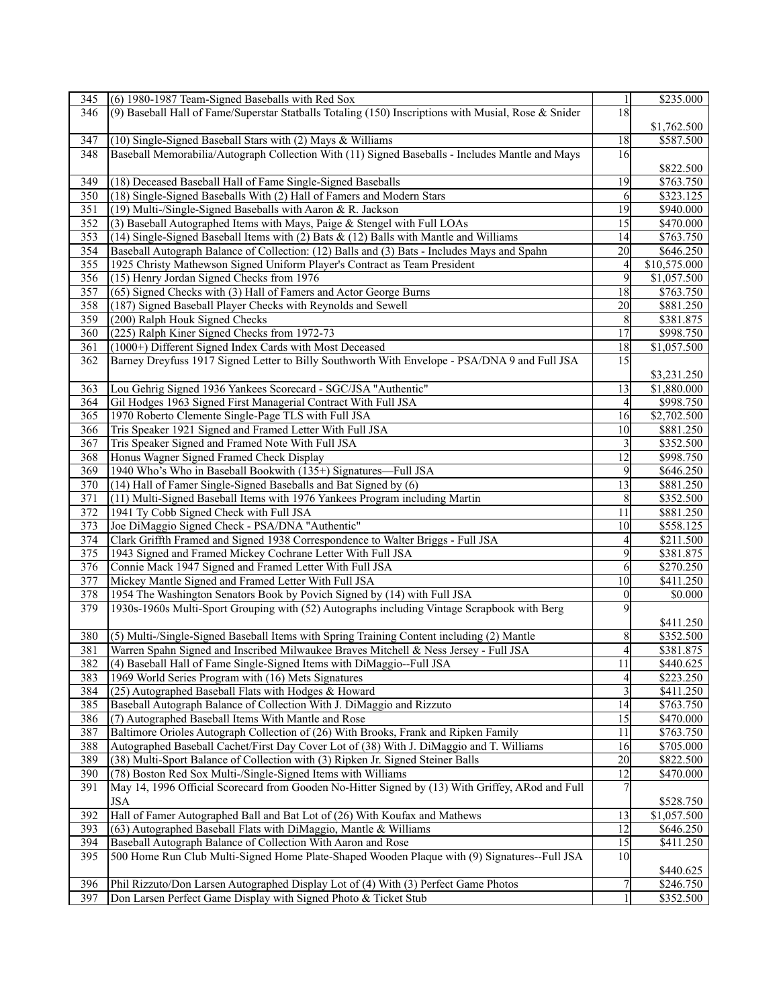| 345 | (6) 1980-1987 Team-Signed Baseballs with Red Sox                                                     | 1                        | \$235.000    |
|-----|------------------------------------------------------------------------------------------------------|--------------------------|--------------|
| 346 | (9) Baseball Hall of Fame/Superstar Statballs Totaling (150) Inscriptions with Musial, Rose & Snider | 18                       |              |
|     |                                                                                                      |                          | \$1,762.500  |
| 347 | (10) Single-Signed Baseball Stars with (2) Mays & Williams                                           | 18                       | \$587.500    |
| 348 | Baseball Memorabilia/Autograph Collection With (11) Signed Baseballs - Includes Mantle and Mays      | 16                       |              |
|     |                                                                                                      |                          |              |
|     |                                                                                                      | 19                       | \$822.500    |
| 349 | (18) Deceased Baseball Hall of Fame Single-Signed Baseballs                                          |                          | \$763.750    |
| 350 | (18) Single-Signed Baseballs With (2) Hall of Famers and Modern Stars                                | 6                        | \$323.125    |
| 351 | (19) Multi-/Single-Signed Baseballs with Aaron & R. Jackson                                          | 19                       | \$940.000    |
| 352 | (3) Baseball Autographed Items with Mays, Paige & Stengel with Full LOAs                             | 15                       | \$470.000    |
| 353 | (14) Single-Signed Baseball Items with (2) Bats $\&$ (12) Balls with Mantle and Williams             | 14                       | \$763.750    |
| 354 | Baseball Autograph Balance of Collection: (12) Balls and (3) Bats - Includes Mays and Spahn          | 20                       | \$646.250    |
| 355 | 1925 Christy Mathewson Signed Uniform Player's Contract as Team President                            | $\overline{\mathcal{L}}$ | \$10,575.000 |
| 356 | (15) Henry Jordan Signed Checks from 1976                                                            | 9                        | \$1,057.500  |
| 357 | (65) Signed Checks with (3) Hall of Famers and Actor George Burns                                    | 18                       | \$763.750    |
| 358 | (187) Signed Baseball Player Checks with Reynolds and Sewell                                         | 20                       | \$881.250    |
| 359 | (200) Ralph Houk Signed Checks                                                                       | 8                        | \$381.875    |
| 360 | (225) Ralph Kiner Signed Checks from 1972-73                                                         | 17                       | \$998.750    |
| 361 | (1000+) Different Signed Index Cards with Most Deceased                                              | 18                       | \$1,057.500  |
| 362 | Barney Dreyfuss 1917 Signed Letter to Billy Southworth With Envelope - PSA/DNA 9 and Full JSA        | 15                       |              |
|     |                                                                                                      |                          | \$3,231.250  |
| 363 | Lou Gehrig Signed 1936 Yankees Scorecard - SGC/JSA "Authentic"                                       | 13                       | \$1,880.000  |
| 364 | Gil Hodges 1963 Signed First Managerial Contract With Full JSA                                       | $\overline{4}$           | \$998.750    |
| 365 | 1970 Roberto Clemente Single-Page TLS with Full JSA                                                  | 16                       | \$2,702.500  |
|     |                                                                                                      |                          |              |
| 366 | Tris Speaker 1921 Signed and Framed Letter With Full JSA                                             | 10                       | \$881.250    |
| 367 | Tris Speaker Signed and Framed Note With Full JSA                                                    | 3                        | \$352.500    |
| 368 | Honus Wagner Signed Framed Check Display                                                             | 12                       | \$998.750    |
| 369 | 1940 Who's Who in Baseball Bookwith (135+) Signatures—Full JSA                                       | 9                        | \$646.250    |
| 370 | (14) Hall of Famer Single-Signed Baseballs and Bat Signed by (6)                                     | 13                       | \$881.250    |
| 371 | (11) Multi-Signed Baseball Items with 1976 Yankees Program including Martin                          | 8                        | \$352.500    |
| 372 | 1941 Ty Cobb Signed Check with Full JSA                                                              | 11                       | \$881.250    |
| 373 | Joe DiMaggio Signed Check - PSA/DNA "Authentic"                                                      | 10                       | \$558.125    |
| 374 | Clark Griffth Framed and Signed 1938 Correspondence to Walter Briggs - Full JSA                      | $\overline{4}$           | \$211.500    |
| 375 | 1943 Signed and Framed Mickey Cochrane Letter With Full JSA                                          | 9                        | \$381.875    |
| 376 | Connie Mack 1947 Signed and Framed Letter With Full JSA                                              | 6                        | \$270.250    |
| 377 | Mickey Mantle Signed and Framed Letter With Full JSA                                                 | 10                       | \$411.250    |
| 378 | 1954 The Washington Senators Book by Povich Signed by (14) with Full JSA                             | $\mathbf{0}$             | \$0.000      |
| 379 | 1930s-1960s Multi-Sport Grouping with (52) Autographs including Vintage Scrapbook with Berg          | 9                        |              |
|     |                                                                                                      |                          | \$411.250    |
| 380 | (5) Multi-/Single-Signed Baseball Items with Spring Training Content including (2) Mantle            | 8                        | \$352.500    |
| 381 | Warren Spahn Signed and Inscribed Milwaukee Braves Mitchell & Ness Jersey - Full JSA                 | $\overline{4}$           | \$381.875    |
| 382 | (4) Baseball Hall of Fame Single-Signed Items with DiMaggio--Full JSA                                | $\overline{11}$          | \$440.625    |
| 383 | 1969 World Series Program with (16) Mets Signatures                                                  | $\overline{4}$           | \$223.250    |
| 384 | (25) Autographed Baseball Flats with Hodges & Howard                                                 | 3                        | \$411.250    |
| 385 | Baseball Autograph Balance of Collection With J. DiMaggio and Rizzuto                                | 14                       | \$763.750    |
|     |                                                                                                      |                          |              |
| 386 | (7) Autographed Baseball Items With Mantle and Rose                                                  | 15                       | \$470.000    |
| 387 | Baltimore Orioles Autograph Collection of (26) With Brooks, Frank and Ripken Family                  | 11                       | \$763.750    |
| 388 | Autographed Baseball Cachet/First Day Cover Lot of (38) With J. DiMaggio and T. Williams             | 16                       | \$705.000    |
| 389 | (38) Multi-Sport Balance of Collection with (3) Ripken Jr. Signed Steiner Balls                      | 20                       | \$822.500    |
| 390 | (78) Boston Red Sox Multi-/Single-Signed Items with Williams                                         | 12                       | \$470.000    |
| 391 | May 14, 1996 Official Scorecard from Gooden No-Hitter Signed by (13) With Griffey, ARod and Full     | 7                        |              |
|     | <b>JSA</b>                                                                                           |                          | \$528.750    |
| 392 | Hall of Famer Autographed Ball and Bat Lot of (26) With Koufax and Mathews                           | 13                       | \$1,057.500  |
| 393 | (63) Autographed Baseball Flats with DiMaggio, Mantle & Williams                                     | 12                       | \$646.250    |
| 394 | Baseball Autograph Balance of Collection With Aaron and Rose                                         | 15                       | \$411.250    |
| 395 | 500 Home Run Club Multi-Signed Home Plate-Shaped Wooden Plaque with (9) Signatures--Full JSA         | 10                       |              |
|     |                                                                                                      |                          | \$440.625    |
| 396 | Phil Rizzuto/Don Larsen Autographed Display Lot of (4) With (3) Perfect Game Photos                  | 7                        | \$246.750    |
| 397 | Don Larsen Perfect Game Display with Signed Photo & Ticket Stub                                      |                          | \$352.500    |
|     |                                                                                                      |                          |              |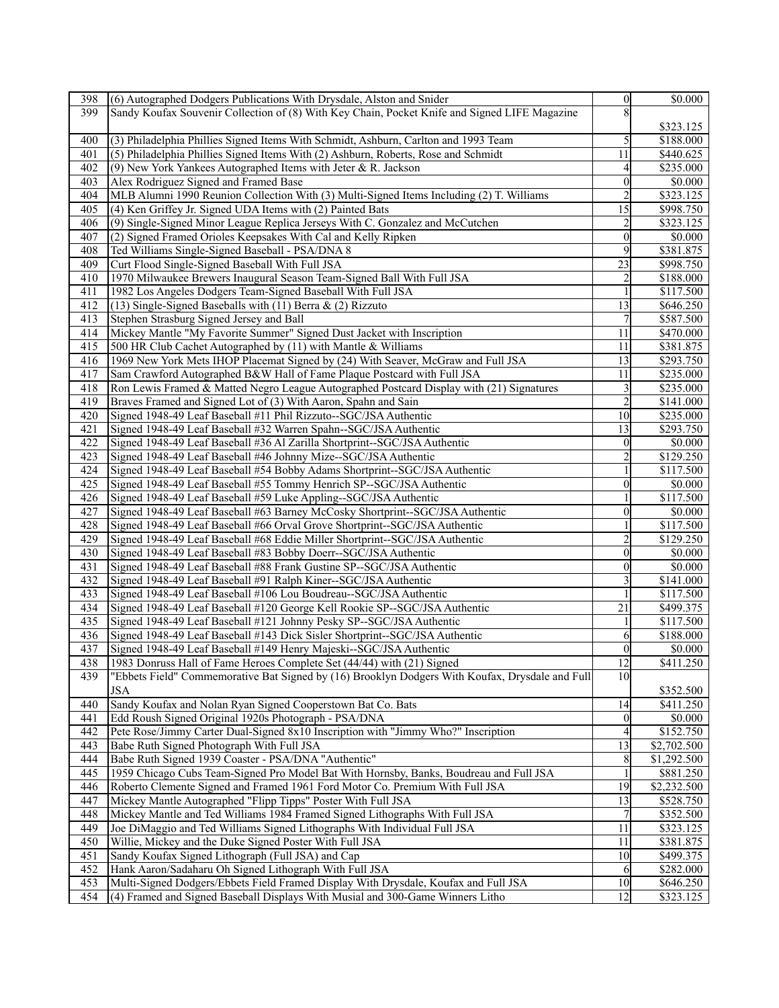| 398        | (6) Autographed Dodgers Publications With Drysdale, Alston and Snider                           | $\overline{0}$ | \$0.000               |
|------------|-------------------------------------------------------------------------------------------------|----------------|-----------------------|
| 399        | Sandy Koufax Souvenir Collection of (8) With Key Chain, Pocket Knife and Signed LIFE Magazine   |                |                       |
|            |                                                                                                 |                | \$323.125             |
| 400        | (3) Philadelphia Phillies Signed Items With Schmidt, Ashburn, Carlton and 1993 Team             | 5              | \$188.000             |
| 401        | (5) Philadelphia Phillies Signed Items With (2) Ashburn, Roberts, Rose and Schmidt              | 11             | \$440.625             |
| 402        | (9) New York Yankees Autographed Items with Jeter & R. Jackson                                  | 4              | \$235.000             |
| 403        | Alex Rodriguez Signed and Framed Base                                                           | $\theta$       | \$0.000               |
| 404        | MLB Alumni 1990 Reunion Collection With (3) Multi-Signed Items Including (2) T. Williams        | $\overline{2}$ | \$323.125             |
|            |                                                                                                 | 15             |                       |
| 405        | (4) Ken Griffey Jr. Signed UDA Items with (2) Painted Bats                                      |                | \$998.750             |
| 406        | (9) Single-Signed Minor League Replica Jerseys With C. Gonzalez and McCutchen                   | 2              | \$323.125             |
| 407        | (2) Signed Framed Orioles Keepsakes With Cal and Kelly Ripken                                   | $\theta$       | \$0.000               |
| 408        | Ted Williams Single-Signed Baseball - PSA/DNA 8                                                 | 9              | \$381.875             |
| 409        | Curt Flood Single-Signed Baseball With Full JSA                                                 | 23             | \$998.750             |
| 410        | 1970 Milwaukee Brewers Inaugural Season Team-Signed Ball With Full JSA                          | $\overline{c}$ | \$188.000             |
| 411        | 1982 Los Angeles Dodgers Team-Signed Baseball With Full JSA                                     |                | \$117.500             |
| 412        | (13) Single-Signed Baseballs with (11) Berra $\&$ (2) Rizzuto                                   | 13             | \$646.250             |
| 413        | Stephen Strasburg Signed Jersey and Ball                                                        |                | \$587.500             |
| 414        | Mickey Mantle "My Favorite Summer" Signed Dust Jacket with Inscription                          | 11             | \$470.000             |
| 415        | 500 HR Club Cachet Autographed by (11) with Mantle & Williams                                   | 11             | \$381.875             |
| 416        | 1969 New York Mets IHOP Placemat Signed by (24) With Seaver, McGraw and Full JSA                | 13             | \$293.750             |
| 417        | Sam Crawford Autographed B&W Hall of Fame Plaque Postcard with Full JSA                         | 11             | \$235.000             |
| 418        | Ron Lewis Framed & Matted Negro League Autographed Postcard Display with (21) Signatures        | 3              | \$235.000             |
| 419        | Braves Framed and Signed Lot of (3) With Aaron, Spahn and Sain                                  | $\overline{c}$ | \$141.000             |
| 420        | Signed 1948-49 Leaf Baseball #11 Phil Rizzuto--SGC/JSA Authentic                                | 10             | \$235.000             |
| 421        | Signed 1948-49 Leaf Baseball #32 Warren Spahn--SGC/JSA Authentic                                | 13             | \$293.750             |
| 422        | Signed 1948-49 Leaf Baseball #36 Al Zarilla Shortprint-SGC/JSA Authentic                        | $\overline{0}$ | \$0.000               |
| 423        | Signed 1948-49 Leaf Baseball #46 Johnny Mize--SGC/JSA Authentic                                 | 2              | \$129.250             |
| 424        | Signed 1948-49 Leaf Baseball #54 Bobby Adams Shortprint--SGC/JSA Authentic                      |                | \$117.500             |
| 425        | Signed 1948-49 Leaf Baseball #55 Tommy Henrich SP--SGC/JSA Authentic                            | $\theta$       | \$0.000               |
|            |                                                                                                 |                |                       |
| 426<br>427 | Signed 1948-49 Leaf Baseball #59 Luke Appling--SGC/JSA Authentic                                | $\theta$       | \$117.500             |
|            | Signed 1948-49 Leaf Baseball #63 Barney McCosky Shortprint--SGC/JSA Authentic                   |                | \$0.000               |
| 428        | Signed 1948-49 Leaf Baseball #66 Orval Grove Shortprint--SGC/JSA Authentic                      |                | \$117.500             |
| 429        | Signed 1948-49 Leaf Baseball #68 Eddie Miller Shortprint--SGC/JSA Authentic                     | $\overline{c}$ | \$129.250             |
| 430        | Signed 1948-49 Leaf Baseball #83 Bobby Doerr--SGC/JSA Authentic                                 | $\theta$       | \$0.000               |
| 431        | Signed 1948-49 Leaf Baseball #88 Frank Gustine SP--SGC/JSA Authentic                            | $\theta$       | \$0.000               |
| 432        | Signed 1948-49 Leaf Baseball #91 Ralph Kiner--SGC/JSA Authentic                                 | 3              | \$141.000             |
| 433        | Signed 1948-49 Leaf Baseball #106 Lou Boudreau-SGC/JSA Authentic                                |                | \$117.500             |
| 434        | Signed 1948-49 Leaf Baseball #120 George Kell Rookie SP--SGC/JSA Authentic                      | 21             | \$499.375             |
| 435        | Signed 1948-49 Leaf Baseball #121 Johnny Pesky SP--SGC/JSA Authentic                            | 1              | \$117.500             |
| 436        | Signed 1948-49 Leaf Baseball #143 Dick Sisler Shortprint-SGC/JSA Authentic                      | 6              | \$188.000             |
| 437        | Signed 1948-49 Leaf Baseball #149 Henry Majeski--SGC/JSA Authentic                              | $\theta$       | \$0.000               |
| 438        | 1983 Donruss Hall of Fame Heroes Complete Set (44/44) with (21) Signed                          | 12             | \$411.250             |
| 439        | "Ebbets Field" Commemorative Bat Signed by (16) Brooklyn Dodgers With Koufax, Drysdale and Full | 10             |                       |
|            | <b>JSA</b>                                                                                      |                | \$352.500             |
| 440        | Sandy Koufax and Nolan Ryan Signed Cooperstown Bat Co. Bats                                     | 14             | \$411.250             |
| 441        | Edd Roush Signed Original 1920s Photograph - PSA/DNA                                            | $\mathbf{0}$   | \$0.000               |
| 442        | Pete Rose/Jimmy Carter Dual-Signed 8x10 Inscription with "Jimmy Who?" Inscription               | 4              | \$152.750             |
| 443        | Babe Ruth Signed Photograph With Full JSA                                                       | 13             | \$2,702.500           |
| 444        | Babe Ruth Signed 1939 Coaster - PSA/DNA "Authentic"                                             | 8              | \$1,292.500           |
| 445        | 1959 Chicago Cubs Team-Signed Pro Model Bat With Hornsby, Banks, Boudreau and Full JSA          | 1              | \$881.250             |
| 446        | Roberto Clemente Signed and Framed 1961 Ford Motor Co. Premium With Full JSA                    | 19             | \$2,232.500           |
| 447        | Mickey Mantle Autographed "Flipp Tipps" Poster With Full JSA                                    | 13             | \$528.750             |
| 448        | Mickey Mantle and Ted Williams 1984 Framed Signed Lithographs With Full JSA                     | $\overline{7}$ | \$352.500             |
| 449        | Joe DiMaggio and Ted Williams Signed Lithographs With Individual Full JSA                       | 11             | \$323.125             |
|            | Willie, Mickey and the Duke Signed Poster With Full JSA                                         | 11             |                       |
| 450        |                                                                                                 |                | \$381.875             |
| 451        | Sandy Koufax Signed Lithograph (Full JSA) and Cap                                               | 10             | $\overline{$499.375}$ |
| 452        | Hank Aaron/Sadaharu Oh Signed Lithograph With Full JSA                                          | 6              | \$282.000             |
| 453        | Multi-Signed Dodgers/Ebbets Field Framed Display With Drysdale, Koufax and Full JSA             | 10             | \$646.250             |
| 454        | (4) Framed and Signed Baseball Displays With Musial and 300-Game Winners Litho                  | 12             | \$323.125             |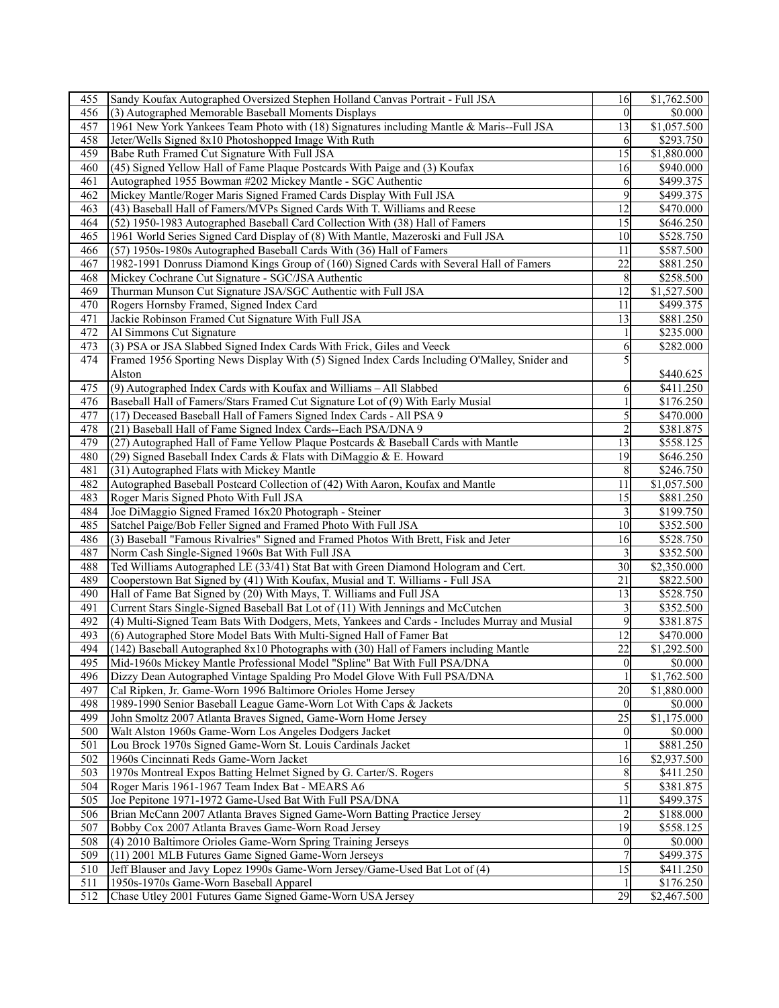| 455 | Sandy Koufax Autographed Oversized Stephen Holland Canvas Portrait - Full JSA                 | 16              | \$1,762.500 |
|-----|-----------------------------------------------------------------------------------------------|-----------------|-------------|
| 456 | (3) Autographed Memorable Baseball Moments Displays                                           | $\theta$        | \$0.000     |
| 457 | 1961 New York Yankees Team Photo with (18) Signatures including Mantle & Maris--Full JSA      | 13              | \$1,057.500 |
| 458 | Jeter/Wells Signed 8x10 Photoshopped Image With Ruth                                          | 6               | \$293.750   |
| 459 | Babe Ruth Framed Cut Signature With Full JSA                                                  | 15              | \$1,880.000 |
| 460 | (45) Signed Yellow Hall of Fame Plaque Postcards With Paige and (3) Koufax                    | 16              | \$940.000   |
| 461 | Autographed 1955 Bowman #202 Mickey Mantle - SGC Authentic                                    | 6               | \$499.375   |
| 462 | Mickey Mantle/Roger Maris Signed Framed Cards Display With Full JSA                           | 9               | \$499.375   |
| 463 |                                                                                               | 12              | \$470.000   |
|     | (43) Baseball Hall of Famers/MVPs Signed Cards With T. Williams and Reese                     |                 |             |
| 464 | (52) 1950-1983 Autographed Baseball Card Collection With (38) Hall of Famers                  | 15              | \$646.250   |
| 465 | 1961 World Series Signed Card Display of (8) With Mantle, Mazeroski and Full JSA              | 10              | \$528.750   |
| 466 | (57) 1950s-1980s Autographed Baseball Cards With (36) Hall of Famers                          | 11              | \$587.500   |
| 467 | 1982-1991 Donruss Diamond Kings Group of (160) Signed Cards with Several Hall of Famers       | $\overline{22}$ | \$881.250   |
| 468 | Mickey Cochrane Cut Signature - SGC/JSA Authentic                                             | 8               | \$258.500   |
| 469 | Thurman Munson Cut Signature JSA/SGC Authentic with Full JSA                                  | 12              | \$1,527.500 |
| 470 | Rogers Hornsby Framed, Signed Index Card                                                      | 11              | \$499.375   |
| 471 | Jackie Robinson Framed Cut Signature With Full JSA                                            | 13              | \$881.250   |
| 472 | Al Simmons Cut Signature                                                                      |                 | \$235.000   |
| 473 | (3) PSA or JSA Slabbed Signed Index Cards With Frick, Giles and Veeck                         | 6               | \$282.000   |
| 474 | Framed 1956 Sporting News Display With (5) Signed Index Cards Including O'Malley, Snider and  |                 |             |
|     | Alston                                                                                        |                 | \$440.625   |
| 475 | (9) Autographed Index Cards with Koufax and Williams - All Slabbed                            | 6               | \$411.250   |
| 476 | Baseball Hall of Famers/Stars Framed Cut Signature Lot of (9) With Early Musial               |                 | \$176.250   |
| 477 | (17) Deceased Baseball Hall of Famers Signed Index Cards - All PSA 9                          | 5               | \$470.000   |
| 478 | (21) Baseball Hall of Fame Signed Index Cards--Each PSA/DNA 9                                 | $\overline{c}$  | \$381.875   |
| 479 | (27) Autographed Hall of Fame Yellow Plaque Postcards & Baseball Cards with Mantle            | 13              | \$558.125   |
| 480 | (29) Signed Baseball Index Cards & Flats with DiMaggio & E. Howard                            | 19              | \$646.250   |
|     |                                                                                               |                 |             |
| 481 | (31) Autographed Flats with Mickey Mantle                                                     | 8               | \$246.750   |
| 482 | Autographed Baseball Postcard Collection of (42) With Aaron, Koufax and Mantle                | 11              | \$1,057.500 |
| 483 | Roger Maris Signed Photo With Full JSA                                                        | 15              | \$881.250   |
| 484 | Joe DiMaggio Signed Framed 16x20 Photograph - Steiner                                         |                 | \$199.750   |
| 485 | Satchel Paige/Bob Feller Signed and Framed Photo With Full JSA                                | 10              | \$352.500   |
| 486 | (3) Baseball "Famous Rivalries" Signed and Framed Photos With Brett, Fisk and Jeter           | 16              | \$528.750   |
| 487 | Norm Cash Single-Signed 1960s Bat With Full JSA                                               | 3               | \$352.500   |
| 488 | Ted Williams Autographed LE (33/41) Stat Bat with Green Diamond Hologram and Cert.            | 30              | \$2,350.000 |
| 489 | Cooperstown Bat Signed by (41) With Koufax, Musial and T. Williams - Full JSA                 | 21              | \$822.500   |
| 490 | Hall of Fame Bat Signed by (20) With Mays, T. Williams and Full JSA                           | 13              | \$528.750   |
| 491 | Current Stars Single-Signed Baseball Bat Lot of (11) With Jennings and McCutchen              | 3               | \$352.500   |
| 492 | (4) Multi-Signed Team Bats With Dodgers, Mets, Yankees and Cards - Includes Murray and Musial | 9               | \$381.875   |
| 493 | (6) Autographed Store Model Bats With Multi-Signed Hall of Famer Bat                          | 12              | \$470.000   |
| 494 | (142) Baseball Autographed 8x10 Photographs with (30) Hall of Famers including Mantle         | 22              | \$1,292.500 |
| 495 | Mid-1960s Mickey Mantle Professional Model "Spline" Bat With Full PSA/DNA                     | $\overline{0}$  | \$0.000     |
| 496 | Dizzy Dean Autographed Vintage Spalding Pro Model Glove With Full PSA/DNA                     |                 | \$1,762.500 |
| 497 | Cal Ripken, Jr. Game-Worn 1996 Baltimore Orioles Home Jersey                                  | 20              | \$1,880.000 |
| 498 | 1989-1990 Senior Baseball League Game-Worn Lot With Caps & Jackets                            | $\Omega$        | \$0.000     |
| 499 | John Smoltz 2007 Atlanta Braves Signed, Game-Worn Home Jersey                                 | 25              | \$1,175.000 |
|     |                                                                                               | $\theta$        |             |
| 500 | Walt Alston 1960s Game-Worn Los Angeles Dodgers Jacket                                        |                 | \$0.000     |
| 501 | Lou Brock 1970s Signed Game-Worn St. Louis Cardinals Jacket                                   |                 | \$881.250   |
| 502 | 1960s Cincinnati Reds Game-Worn Jacket                                                        | 16              | \$2,937.500 |
| 503 | 1970s Montreal Expos Batting Helmet Signed by G. Carter/S. Rogers                             | 8               | \$411.250   |
| 504 | Roger Maris 1961-1967 Team Index Bat - MEARS A6                                               |                 | \$381.875   |
| 505 | Joe Pepitone 1971-1972 Game-Used Bat With Full PSA/DNA                                        | 11              | \$499.375   |
| 506 | Brian McCann 2007 Atlanta Braves Signed Game-Worn Batting Practice Jersey                     |                 | \$188.000   |
| 507 | Bobby Cox 2007 Atlanta Braves Game-Worn Road Jersey                                           | 19              | \$558.125   |
| 508 | (4) 2010 Baltimore Orioles Game-Worn Spring Training Jerseys                                  | $\theta$        | \$0.000     |
| 509 | (11) 2001 MLB Futures Game Signed Game-Worn Jerseys                                           |                 | \$499.375   |
| 510 | Jeff Blauser and Javy Lopez 1990s Game-Worn Jersey/Game-Used Bat Lot of (4)                   | 15              | \$411.250   |
| 511 | 1950s-1970s Game-Worn Baseball Apparel                                                        |                 | \$176.250   |
| 512 | Chase Utley 2001 Futures Game Signed Game-Worn USA Jersey                                     | 29              | \$2,467.500 |
|     |                                                                                               |                 |             |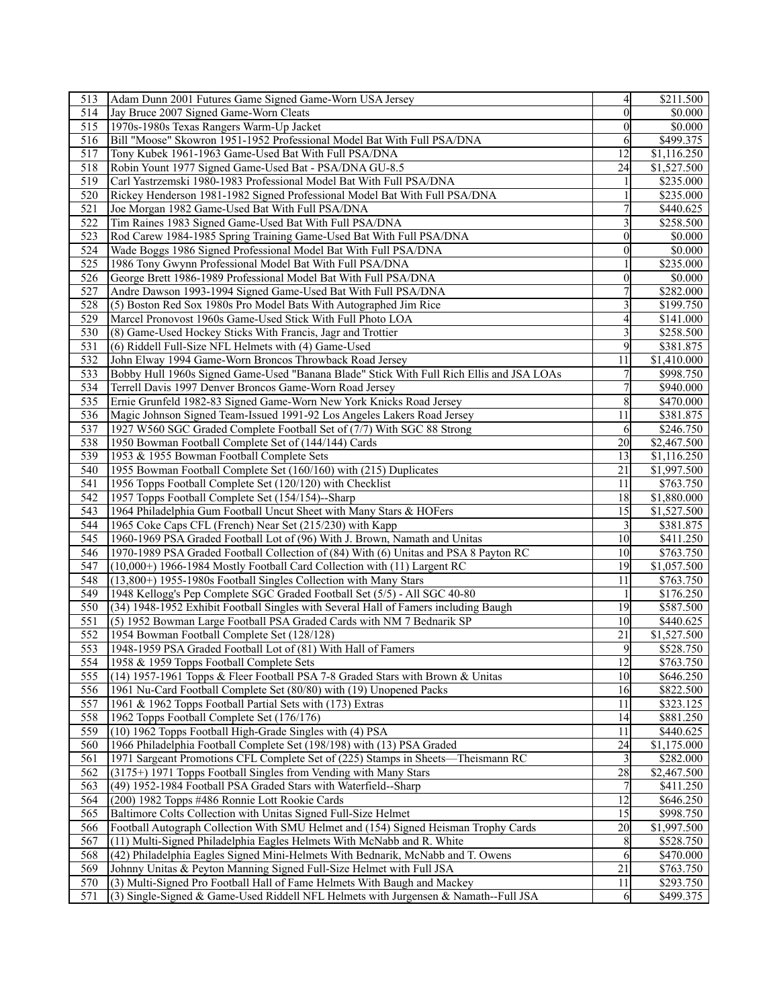| 513              | Adam Dunn 2001 Futures Game Signed Game-Worn USA Jersey                                  | $\overline{4}$  | \$211.500   |
|------------------|------------------------------------------------------------------------------------------|-----------------|-------------|
| 514              | Jay Bruce 2007 Signed Game-Worn Cleats                                                   | $\theta$        | \$0.000     |
| 515              | 1970s-1980s Texas Rangers Warm-Up Jacket                                                 | 0               | \$0.000     |
| 516              | Bill "Moose" Skowron 1951-1952 Professional Model Bat With Full PSA/DNA                  | 6               | \$499.375   |
| 517              | Tony Kubek 1961-1963 Game-Used Bat With Full PSA/DNA                                     | 12              | \$1,116.250 |
| 518              | Robin Yount 1977 Signed Game-Used Bat - PSA/DNA GU-8.5                                   | 24              | \$1,527.500 |
| 519              | Carl Yastrzemski 1980-1983 Professional Model Bat With Full PSA/DNA                      | 1               | \$235.000   |
| 520              | Rickey Henderson 1981-1982 Signed Professional Model Bat With Full PSA/DNA               | 1               | \$235.000   |
| 521              | Joe Morgan 1982 Game-Used Bat With Full PSA/DNA                                          | 7               | \$440.625   |
| 522              | Tim Raines 1983 Signed Game-Used Bat With Full PSA/DNA                                   | 3               | \$258.500   |
|                  |                                                                                          | $\overline{0}$  |             |
| 523              | Rod Carew 1984-1985 Spring Training Game-Used Bat With Full PSA/DNA                      |                 | \$0.000     |
| 524              | Wade Boggs 1986 Signed Professional Model Bat With Full PSA/DNA                          | $\theta$        | \$0.000     |
| 525              | 1986 Tony Gwynn Professional Model Bat With Full PSA/DNA                                 |                 | \$235.000   |
| 526              | George Brett 1986-1989 Professional Model Bat With Full PSA/DNA                          | 0               | \$0.000     |
| 527              | Andre Dawson 1993-1994 Signed Game-Used Bat With Full PSA/DNA                            |                 | \$282.000   |
| 528              | (5) Boston Red Sox 1980s Pro Model Bats With Autographed Jim Rice                        | 3               | \$199.750   |
| 529              | Marcel Pronovost 1960s Game-Used Stick With Full Photo LOA                               | $\overline{4}$  | \$141.000   |
| 530              | (8) Game-Used Hockey Sticks With Francis, Jagr and Trottier                              | 3               | \$258.500   |
| 531              | (6) Riddell Full-Size NFL Helmets with (4) Game-Used                                     | 9               | \$381.875   |
| 532              | John Elway 1994 Game-Worn Broncos Throwback Road Jersey                                  | 11              | \$1,410.000 |
| 533              | Bobby Hull 1960s Signed Game-Used "Banana Blade" Stick With Full Rich Ellis and JSA LOAs |                 | \$998.750   |
| 534              | Terrell Davis 1997 Denver Broncos Game-Worn Road Jersey                                  | $\overline{7}$  | \$940.000   |
| 535              | Ernie Grunfeld 1982-83 Signed Game-Worn New York Knicks Road Jersey                      | 8               | \$470.000   |
| 536              | Magic Johnson Signed Team-Issued 1991-92 Los Angeles Lakers Road Jersey                  | 11              | \$381.875   |
| 537              | 1927 W560 SGC Graded Complete Football Set of (7/7) With SGC 88 Strong                   | 6               | \$246.750   |
| 538              | 1950 Bowman Football Complete Set of (144/144) Cards                                     | 20              | \$2,467.500 |
| 539              | 1953 & 1955 Bowman Football Complete Sets                                                | 13              | \$1,116.250 |
| 540              | 1955 Bowman Football Complete Set (160/160) with (215) Duplicates                        | 21              | \$1,997.500 |
| 541              | 1956 Topps Football Complete Set (120/120) with Checklist                                | 11              | \$763.750   |
| 542              | 1957 Topps Football Complete Set (154/154)--Sharp                                        | 18              | \$1,880.000 |
| 543              | 1964 Philadelphia Gum Football Uncut Sheet with Many Stars & HOFers                      | 15              | \$1,527.500 |
| 544              | 1965 Coke Caps CFL (French) Near Set (215/230) with Kapp                                 | 3               | \$381.875   |
| 545              |                                                                                          | 10              | \$411.250   |
|                  | 1960-1969 PSA Graded Football Lot of (96) With J. Brown, Namath and Unitas               |                 |             |
| 546              | 1970-1989 PSA Graded Football Collection of (84) With (6) Unitas and PSA 8 Payton RC     | 10              | \$763.750   |
| 547              | $(10,000+)$ 1966-1984 Mostly Football Card Collection with $(11)$ Largent RC             | 19              | \$1,057.500 |
| 548              | (13,800+) 1955-1980s Football Singles Collection with Many Stars                         | 11              | \$763.750   |
| 549              | 1948 Kellogg's Pep Complete SGC Graded Football Set (5/5) - All SGC 40-80                | 1               | \$176.250   |
| 550              | (34) 1948-1952 Exhibit Football Singles with Several Hall of Famers including Baugh      | $\overline{19}$ | \$587.500   |
| 551              | (5) 1952 Bowman Large Football PSA Graded Cards with NM 7 Bednarik SP                    | 10              | \$440.625   |
| 552              | 1954 Bowman Football Complete Set (128/128)                                              | 21              | \$1,527.500 |
| 553              | 1948-1959 PSA Graded Football Lot of (81) With Hall of Famers                            | 9               | \$528.750   |
| $\overline{554}$ | 1958 & 1959 Topps Football Complete Sets                                                 | $\overline{12}$ | \$763.750   |
| 555              | (14) 1957-1961 Topps & Fleer Football PSA 7-8 Graded Stars with Brown & Unitas           | $\overline{10}$ | \$646.250   |
| 556              | 1961 Nu-Card Football Complete Set (80/80) with (19) Unopened Packs                      | 16              | \$822.500   |
| 557              | 1961 & 1962 Topps Football Partial Sets with (173) Extras                                | 11              | \$323.125   |
| 558              | 1962 Topps Football Complete Set (176/176)                                               | 14              | \$881.250   |
| 559              | (10) 1962 Topps Football High-Grade Singles with (4) PSA                                 | 11              | \$440.625   |
| 560              | 1966 Philadelphia Football Complete Set (198/198) with (13) PSA Graded                   | 24              | \$1,175.000 |
| 561              | 1971 Sargeant Promotions CFL Complete Set of (225) Stamps in Sheets—Theismann RC         | 3               | \$282.000   |
| 562              | (3175+) 1971 Topps Football Singles from Vending with Many Stars                         | 28              | \$2,467.500 |
| 563              | (49) 1952-1984 Football PSA Graded Stars with Waterfield--Sharp                          |                 | \$411.250   |
| 564              | (200) 1982 Topps #486 Ronnie Lott Rookie Cards                                           | 12              | \$646.250   |
| 565              | Baltimore Colts Collection with Unitas Signed Full-Size Helmet                           | 15              | \$998.750   |
| 566              | Football Autograph Collection With SMU Helmet and (154) Signed Heisman Trophy Cards      | 20              | \$1,997.500 |
| 567              | (11) Multi-Signed Philadelphia Eagles Helmets With McNabb and R. White                   | 8               | \$528.750   |
| 568              | (42) Philadelphia Eagles Signed Mini-Helmets With Bednarik, McNabb and T. Owens          | 6               | \$470.000   |
| 569              | Johnny Unitas & Peyton Manning Signed Full-Size Helmet with Full JSA                     | $\overline{21}$ | \$763.750   |
| 570              |                                                                                          |                 | \$293.750   |
|                  | (3) Multi-Signed Pro Football Hall of Fame Helmets With Baugh and Mackey                 | 11              |             |
| 571              | (3) Single-Signed & Game-Used Riddell NFL Helmets with Jurgensen & Namath--Full JSA      | 6               | \$499.375   |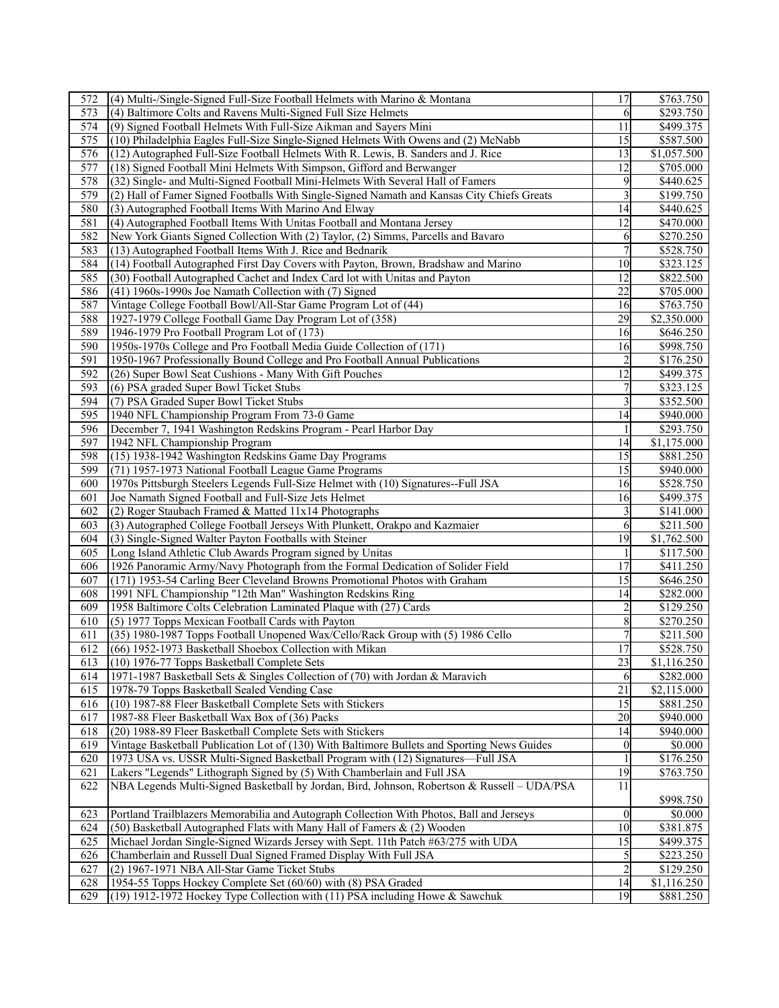| 572              | (4) Multi-/Single-Signed Full-Size Football Helmets with Marino & Montana                   | 17               | \$763.750              |
|------------------|---------------------------------------------------------------------------------------------|------------------|------------------------|
| 573              | (4) Baltimore Colts and Ravens Multi-Signed Full Size Helmets                               | 6                | \$293.750              |
| 574              | (9) Signed Football Helmets With Full-Size Aikman and Sayers Mini                           | 11               | $\overline{$499.375}$  |
| 575              | (10) Philadelphia Eagles Full-Size Single-Signed Helmets With Owens and (2) McNabb          | 15               | \$587.500              |
| 576              | (12) Autographed Full-Size Football Helmets With R. Lewis, B. Sanders and J. Rice           | 13               | $\overline{1,057.500}$ |
| 577              | (18) Signed Football Mini Helmets With Simpson, Gifford and Berwanger                       | 12               | \$705.000              |
| 578              | (32) Single- and Multi-Signed Football Mini-Helmets With Several Hall of Famers             | 9                | \$440.625              |
| 579              | (2) Hall of Famer Signed Footballs With Single-Signed Namath and Kansas City Chiefs Greats  | 3                | \$199.750              |
| 580              | (3) Autographed Football Items With Marino And Elway                                        | 14               | \$440.625              |
| 581              | (4) Autographed Football Items With Unitas Football and Montana Jersey                      | 12               | \$470.000              |
| 582              | New York Giants Signed Collection With (2) Taylor, (2) Simms, Parcells and Bavaro           | 6                | \$270.250              |
| 583              | (13) Autographed Football Items With J. Rice and Bednarik                                   | $\overline{7}$   | \$528.750              |
| 584              | (14) Football Autographed First Day Covers with Payton, Brown, Bradshaw and Marino          | 10               | \$323.125              |
| 585              | (30) Football Autographed Cachet and Index Card lot with Unitas and Payton                  | 12               | \$822.500              |
| 586              | (41) 1960s-1990s Joe Namath Collection with (7) Signed                                      | $\overline{22}$  | \$705.000              |
| 587              | Vintage College Football Bowl/All-Star Game Program Lot of (44)                             | 16               | \$763.750              |
| 588              |                                                                                             | $\overline{29}$  | \$2,350.000            |
|                  | 1927-1979 College Football Game Day Program Lot of (358)                                    |                  |                        |
| 589              | 1946-1979 Pro Football Program Lot of (173)                                                 | 16               | \$646.250              |
| 590              | 1950s-1970s College and Pro Football Media Guide Collection of (171)                        | 16               | \$998.750              |
| 591              | 1950-1967 Professionally Bound College and Pro Football Annual Publications                 | $\overline{2}$   | \$176.250              |
| 592              | (26) Super Bowl Seat Cushions - Many With Gift Pouches                                      | 12               | \$499.375              |
| $\overline{593}$ | (6) PSA graded Super Bowl Ticket Stubs                                                      | 7                | \$323.125              |
| 594              | (7) PSA Graded Super Bowl Ticket Stubs                                                      | 3                | \$352.500              |
| 595              | 1940 NFL Championship Program From 73-0 Game                                                | 14               | \$940.000              |
| 596              | December 7, 1941 Washington Redskins Program - Pearl Harbor Day                             |                  | \$293.750              |
| 597              | 1942 NFL Championship Program                                                               | 14               | \$1,175.000            |
| 598              | (15) 1938-1942 Washington Redskins Game Day Programs                                        | 15               | \$881.250              |
| 599              | (71) 1957-1973 National Football League Game Programs                                       | 15               | \$940.000              |
| 600              | 1970s Pittsburgh Steelers Legends Full-Size Helmet with (10) Signatures--Full JSA           | 16               | \$528.750              |
| 601              | Joe Namath Signed Football and Full-Size Jets Helmet                                        | 16               | \$499.375              |
| 602              | (2) Roger Staubach Framed & Matted 11x14 Photographs                                        | 3                | \$141.000              |
| 603              | (3) Autographed College Football Jerseys With Plunkett, Orakpo and Kazmaier                 | 6                | \$211.500              |
| 604              | (3) Single-Signed Walter Payton Footballs with Steiner                                      | 19               | \$1,762.500            |
| 605              | Long Island Athletic Club Awards Program signed by Unitas                                   | 1                | \$117.500              |
| 606              | 1926 Panoramic Army/Navy Photograph from the Formal Dedication of Solider Field             | 17               | \$411.250              |
| 607              | (171) 1953-54 Carling Beer Cleveland Browns Promotional Photos with Graham                  | 15               | \$646.250              |
| 608              | 1991 NFL Championship "12th Man" Washington Redskins Ring                                   | 14               | \$282.000              |
| 609              | 1958 Baltimore Colts Celebration Laminated Plaque with (27) Cards                           |                  | \$129.250              |
| 610              | (5) 1977 Topps Mexican Football Cards with Payton                                           | 8                | \$270.250              |
| 611              | (35) 1980-1987 Topps Football Unopened Wax/Cello/Rack Group with (5) 1986 Cello             | $\overline{7}$   | \$211.500              |
| 612              | (66) 1952-1973 Basketball Shoebox Collection with Mikan                                     | 17               | \$528.750              |
| 613              | (10) 1976-77 Topps Basketball Complete Sets                                                 | $\overline{23}$  | \$1,116.250            |
| 614              | 1971-1987 Basketball Sets & Singles Collection of (70) with Jordan & Maravich               | 6                | \$282.000              |
| 615              | 1978-79 Topps Basketball Sealed Vending Case                                                | 21               | \$2,115.000            |
| 616              | (10) 1987-88 Fleer Basketball Complete Sets with Stickers                                   | 15               | \$881.250              |
| 617              | 1987-88 Fleer Basketball Wax Box of (36) Packs                                              | 20               | \$940.000              |
| 618              | (20) 1988-89 Fleer Basketball Complete Sets with Stickers                                   | 14               | \$940.000              |
| 619              | Vintage Basketball Publication Lot of (130) With Baltimore Bullets and Sporting News Guides | $\boldsymbol{0}$ | \$0.000                |
| 620              | 1973 USA vs. USSR Multi-Signed Basketball Program with (12) Signatures-Full JSA             |                  | \$176.250              |
| 621              | Lakers "Legends" Lithograph Signed by (5) With Chamberlain and Full JSA                     | 19               | \$763.750              |
| 622              | NBA Legends Multi-Signed Basketball by Jordan, Bird, Johnson, Robertson & Russell - UDA/PSA | 11               | \$998.750              |
| 623              | Portland Trailblazers Memorabilia and Autograph Collection With Photos, Ball and Jerseys    | $\theta$         | \$0.000                |
| 624              | (50) Basketball Autographed Flats with Many Hall of Famers $\&$ (2) Wooden                  | 10               | \$381.875              |
| 625              | Michael Jordan Single-Signed Wizards Jersey with Sept. 11th Patch #63/275 with UDA          | 15               | \$499.375              |
| 626              | Chamberlain and Russell Dual Signed Framed Display With Full JSA                            | 5                | \$223.250              |
| 627              | (2) 1967-1971 NBA All-Star Game Ticket Stubs                                                | $\overline{c}$   | \$129.250              |
| 628              | 1954-55 Topps Hockey Complete Set (60/60) with (8) PSA Graded                               | 14               | \$1,116.250            |
| 629              | (19) 1912-1972 Hockey Type Collection with (11) PSA including Howe & Sawchuk                | 19               | \$881.250              |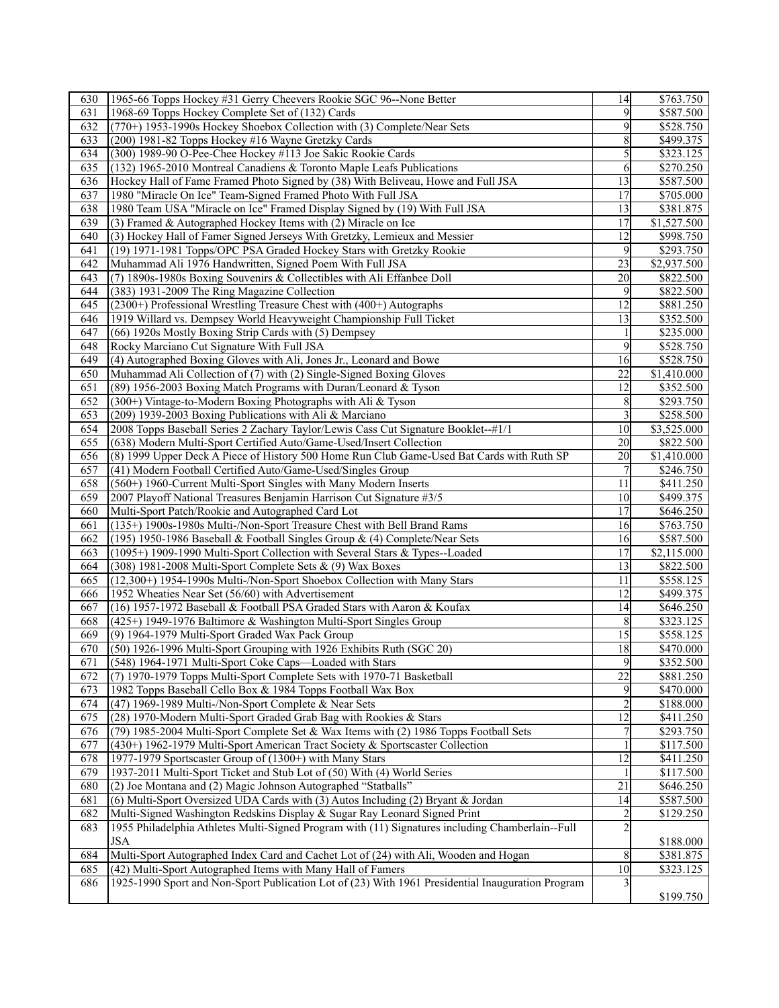| 630 | 1965-66 Topps Hockey #31 Gerry Cheevers Rookie SGC 96--None Better                                | 14                      | \$763.750                |
|-----|---------------------------------------------------------------------------------------------------|-------------------------|--------------------------|
| 631 | 1968-69 Topps Hockey Complete Set of (132) Cards                                                  | 9                       | \$587.500                |
| 632 | (770+) 1953-1990s Hockey Shoebox Collection with (3) Complete/Near Sets                           | 9                       | \$528.750                |
| 633 | (200) 1981-82 Topps Hockey #16 Wayne Gretzky Cards                                                | 8                       | \$499.375                |
| 634 | (300) 1989-90 O-Pee-Chee Hockey #113 Joe Sakic Rookie Cards                                       | 5                       | \$323.125                |
| 635 | (132) 1965-2010 Montreal Canadiens & Toronto Maple Leafs Publications                             | 6                       | \$270.250                |
| 636 | Hockey Hall of Fame Framed Photo Signed by (38) With Beliveau, Howe and Full JSA                  | 13                      | \$587.500                |
| 637 | 1980 "Miracle On Ice" Team-Signed Framed Photo With Full JSA                                      | 17                      | \$705.000                |
| 638 | 1980 Team USA "Miracle on Ice" Framed Display Signed by (19) With Full JSA                        | 13                      | \$381.875                |
| 639 | (3) Framed $\&$ Autographed Hockey Items with (2) Miracle on Ice                                  | 17                      |                          |
|     |                                                                                                   | 12                      | \$1,527.500<br>\$998.750 |
| 640 | (3) Hockey Hall of Famer Signed Jerseys With Gretzky, Lemieux and Messier                         |                         |                          |
| 641 | (19) 1971-1981 Topps/OPC PSA Graded Hockey Stars with Gretzky Rookie                              | 9                       | \$293.750                |
| 642 | Muhammad Ali 1976 Handwritten, Signed Poem With Full JSA                                          | 23                      | \$2,937.500              |
| 643 | (7) 1890s-1980s Boxing Souvenirs & Collectibles with Ali Effanbee Doll                            | 20                      | \$822.500                |
| 644 | (383) 1931-2009 The Ring Magazine Collection                                                      | 9                       | \$822.500                |
| 645 | $(2300+)$ Professional Wrestling Treasure Chest with $(400+)$ Autographs                          | 12                      | \$881.250                |
| 646 | 1919 Willard vs. Dempsey World Heavyweight Championship Full Ticket                               | 13                      | \$352.500                |
| 647 | (66) 1920s Mostly Boxing Strip Cards with (5) Dempsey                                             | 1                       | \$235.000                |
| 648 | Rocky Marciano Cut Signature With Full JSA                                                        | 9                       | \$528.750                |
| 649 | (4) Autographed Boxing Gloves with Ali, Jones Jr., Leonard and Bowe                               | 16                      | \$528.750                |
| 650 | Muhammad Ali Collection of (7) with (2) Single-Signed Boxing Gloves                               | 22                      | \$1,410.000              |
| 651 | (89) 1956-2003 Boxing Match Programs with Duran/Leonard & Tyson                                   | 12                      | \$352.500                |
| 652 | (300+) Vintage-to-Modern Boxing Photographs with Ali & Tyson                                      | 8                       | \$293.750                |
| 653 | (209) 1939-2003 Boxing Publications with Ali & Marciano                                           | 3                       | \$258.500                |
| 654 | 2008 Topps Baseball Series 2 Zachary Taylor/Lewis Cass Cut Signature Booklet--#1/1                | 10                      | \$3,525.000              |
| 655 | (638) Modern Multi-Sport Certified Auto/Game-Used/Insert Collection                               | 20                      | \$822.500                |
| 656 | (8) 1999 Upper Deck A Piece of History 500 Home Run Club Game-Used Bat Cards with Ruth SP         | 20                      | $\overline{1,}410.000$   |
| 657 | (41) Modern Football Certified Auto/Game-Used/Singles Group                                       | 7                       | \$246.750                |
| 658 |                                                                                                   | 11                      |                          |
|     | $(560+)$ 1960-Current Multi-Sport Singles with Many Modern Inserts                                |                         | \$411.250                |
| 659 | 2007 Playoff National Treasures Benjamin Harrison Cut Signature #3/5                              | 10                      | \$499.375                |
| 660 | Multi-Sport Patch/Rookie and Autographed Card Lot                                                 | 17                      | \$646.250                |
| 661 | (135+) 1900s-1980s Multi-/Non-Sport Treasure Chest with Bell Brand Rams                           | 16                      | \$763.750                |
| 662 | (195) 1950-1986 Baseball & Football Singles Group & (4) Complete/Near Sets                        | 16                      | \$587.500                |
| 663 | (1095+) 1909-1990 Multi-Sport Collection with Several Stars & Types--Loaded                       | 17                      | \$2,115.000              |
| 664 | (308) 1981-2008 Multi-Sport Complete Sets & (9) Wax Boxes                                         | 13                      | \$822.500                |
| 665 | (12,300+) 1954-1990s Multi-/Non-Sport Shoebox Collection with Many Stars                          | 11                      | \$558.125                |
| 666 | 1952 Wheaties Near Set (56/60) with Advertisement                                                 | 12                      | \$499.375                |
| 667 | (16) 1957-1972 Baseball & Football PSA Graded Stars with Aaron & Koufax                           | 14                      | \$646.250                |
| 668 | (425+) 1949-1976 Baltimore & Washington Multi-Sport Singles Group                                 | 8                       | \$323.125                |
| 669 | (9) 1964-1979 Multi-Sport Graded Wax Pack Group                                                   | 15                      | \$558.125                |
| 670 | (50) 1926-1996 Multi-Sport Grouping with 1926 Exhibits Ruth (SGC 20)                              | 18                      | \$470.000                |
| 671 | (548) 1964-1971 Multi-Sport Coke Caps-Loaded with Stars                                           | $\mathbf{Q}$            | \$352.500                |
| 672 | (7) 1970-1979 Topps Multi-Sport Complete Sets with 1970-71 Basketball                             | $\overline{22}$         | \$881.250                |
| 673 | 1982 Topps Baseball Cello Box & 1984 Topps Football Wax Box                                       | 9                       | \$470.000                |
| 674 | (47) 1969-1989 Multi-/Non-Sport Complete & Near Sets                                              | $\overline{c}$          | \$188.000                |
| 675 | (28) 1970-Modern Multi-Sport Graded Grab Bag with Rookies & Stars                                 | 12                      | \$411.250                |
| 676 | (79) 1985-2004 Multi-Sport Complete Set & Wax Items with (2) 1986 Topps Football Sets             | 7                       | \$293.750                |
| 677 | (430+) 1962-1979 Multi-Sport American Tract Society & Sportscaster Collection                     | 1                       | \$117.500                |
| 678 | 1977-1979 Sportscaster Group of (1300+) with Many Stars                                           | 12                      | \$411.250                |
| 679 | 1937-2011 Multi-Sport Ticket and Stub Lot of (50) With (4) World Series                           |                         | \$117.500                |
| 680 | (2) Joe Montana and (2) Magic Johnson Autographed "Statballs"                                     | 21                      |                          |
| 681 |                                                                                                   | 14                      | \$646.250                |
|     | (6) Multi-Sport Oversized UDA Cards with (3) Autos Including (2) Bryant & Jordan                  |                         | \$587.500                |
| 682 | Multi-Signed Washington Redskins Display & Sugar Ray Leonard Signed Print                         | $\overline{\mathbf{c}}$ | \$129.250                |
| 683 | 1955 Philadelphia Athletes Multi-Signed Program with (11) Signatures including Chamberlain--Full  | $\overline{2}$          |                          |
|     | <b>JSA</b>                                                                                        |                         | \$188.000                |
| 684 | Multi-Sport Autographed Index Card and Cachet Lot of (24) with Ali, Wooden and Hogan              | 8                       | \$381.875                |
| 685 | (42) Multi-Sport Autographed Items with Many Hall of Famers                                       | 10                      | \$323.125                |
| 686 | 1925-1990 Sport and Non-Sport Publication Lot of (23) With 1961 Presidential Inauguration Program | 3                       |                          |
|     |                                                                                                   |                         | \$199.750                |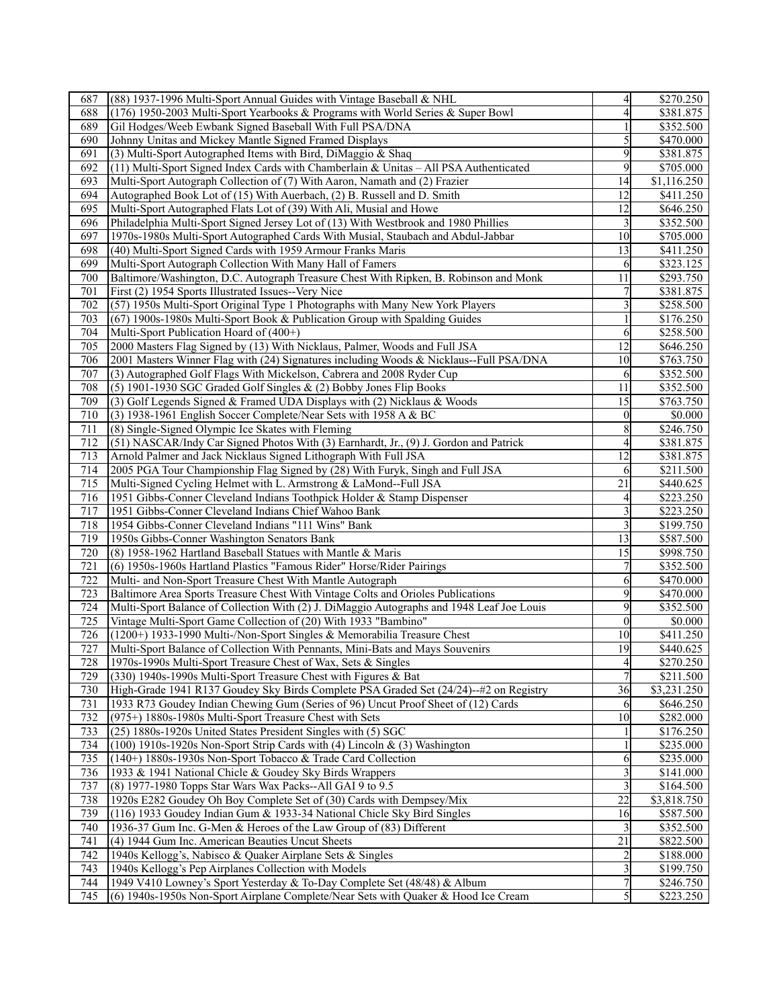| 687              | (88) 1937-1996 Multi-Sport Annual Guides with Vintage Baseball & NHL                      | 4               | \$270.250             |
|------------------|-------------------------------------------------------------------------------------------|-----------------|-----------------------|
| 688              | (176) 1950-2003 Multi-Sport Yearbooks & Programs with World Series & Super Bowl           | 4               | \$381.875             |
| 689              | Gil Hodges/Weeb Ewbank Signed Baseball With Full PSA/DNA                                  |                 | \$352.500             |
| 690              | Johnny Unitas and Mickey Mantle Signed Framed Displays                                    | 5               | \$470.000             |
| 691              | (3) Multi-Sport Autographed Items with Bird, DiMaggio & Shaq                              | 9               | \$381.875             |
| 692              | $(11)$ Multi-Sport Signed Index Cards with Chamberlain & Unitas – All PSA Authenticated   | 9               | \$705.000             |
| 693              | Multi-Sport Autograph Collection of (7) With Aaron, Namath and (2) Frazier                | 14              | \$1,116.250           |
| 694              | Autographed Book Lot of (15) With Auerbach, (2) B. Russell and D. Smith                   | 12              | \$411.250             |
| 695              | Multi-Sport Autographed Flats Lot of (39) With Ali, Musial and Howe                       | 12              | \$646.250             |
| 696              | Philadelphia Multi-Sport Signed Jersey Lot of (13) With Westbrook and 1980 Phillies       |                 | \$352.500             |
| 697              | 1970s-1980s Multi-Sport Autographed Cards With Musial, Staubach and Abdul-Jabbar          | 10              | \$705.000             |
| 698              | (40) Multi-Sport Signed Cards with 1959 Armour Franks Maris                               | 13              | \$411.250             |
| 699              | Multi-Sport Autograph Collection With Many Hall of Famers                                 | 6               | \$323.125             |
| 700              | Baltimore/Washington, D.C. Autograph Treasure Chest With Ripken, B. Robinson and Monk     | 11              | \$293.750             |
| 701              | First (2) 1954 Sports Illustrated Issues--Very Nice                                       | 7               | \$381.875             |
| 702              | (57) 1950s Multi-Sport Original Type 1 Photographs with Many New York Players             | 3               | \$258.500             |
| $\overline{703}$ | (67) 1900s-1980s Multi-Sport Book & Publication Group with Spalding Guides                | 1               | \$176.250             |
| 704              | Multi-Sport Publication Hoard of (400+)                                                   | 6               | \$258.500             |
| 705              | 2000 Masters Flag Signed by (13) With Nicklaus, Palmer, Woods and Full JSA                | 12              | \$646.250             |
| 706              | 2001 Masters Winner Flag with (24) Signatures including Woods & Nicklaus--Full PSA/DNA    | 10              | \$763.750             |
| 707              | (3) Autographed Golf Flags With Mickelson, Cabrera and 2008 Ryder Cup                     | 6               | \$352.500             |
| 708              | (5) 1901-1930 SGC Graded Golf Singles & (2) Bobby Jones Flip Books                        | 11              | \$352.500             |
| 709              | (3) Golf Legends Signed & Framed UDA Displays with (2) Nicklaus & Woods                   | 15              | \$763.750             |
| 710              | (3) 1938-1961 English Soccer Complete/Near Sets with 1958 A & BC                          | $\overline{0}$  | \$0.000               |
| 711              | (8) Single-Signed Olympic Ice Skates with Fleming                                         | 8               | \$246.750             |
| 712              | (51) NASCAR/Indy Car Signed Photos With (3) Earnhardt, Jr., (9) J. Gordon and Patrick     | 4               | \$381.875             |
| 713              | Arnold Palmer and Jack Nicklaus Signed Lithograph With Full JSA                           | $\overline{12}$ | \$381.875             |
| 714              | 2005 PGA Tour Championship Flag Signed by (28) With Furyk, Singh and Full JSA             | 6               | \$211.500             |
| 715              | Multi-Signed Cycling Helmet with L. Armstrong & LaMond--Full JSA                          | 21              | \$440.625             |
| 716              | 1951 Gibbs-Conner Cleveland Indians Toothpick Holder & Stamp Dispenser                    | 4               | \$223.250             |
| 717              | 1951 Gibbs-Conner Cleveland Indians Chief Wahoo Bank                                      | 3               | \$223.250             |
| 718              | 1954 Gibbs-Conner Cleveland Indians "111 Wins" Bank                                       | $\overline{3}$  | \$199.750             |
| 719              | 1950s Gibbs-Conner Washington Senators Bank                                               | 13              | \$587.500             |
| 720              | (8) 1958-1962 Hartland Baseball Statues with Mantle & Maris                               | 15              | \$998.750             |
| 721              | (6) 1950s-1960s Hartland Plastics "Famous Rider" Horse/Rider Pairings                     |                 | \$352.500             |
| 722              | Multi- and Non-Sport Treasure Chest With Mantle Autograph                                 | 6               | \$470.000             |
| 723              | Baltimore Area Sports Treasure Chest With Vintage Colts and Orioles Publications          | 9               | \$470.000             |
| 724              | Multi-Sport Balance of Collection With (2) J. DiMaggio Autographs and 1948 Leaf Joe Louis | 9               | \$352.500             |
| 725              | Vintage Multi-Sport Game Collection of (20) With 1933 "Bambino"                           | $\overline{0}$  | \$0.000               |
| 726              | (1200+) 1933-1990 Multi-/Non-Sport Singles & Memorabilia Treasure Chest                   | 10              | \$411.250             |
| 727              | Multi-Sport Balance of Collection With Pennants, Mini-Bats and Mays Souvenirs             | 19              | \$440.625             |
| 728              | 1970s-1990s Multi-Sport Treasure Chest of Wax, Sets & Singles                             | 4               | \$270.250             |
| 729              | (330) 1940s-1990s Multi-Sport Treasure Chest with Figures & Bat                           |                 | $\overline{$}211.500$ |
| 730              | High-Grade 1941 R137 Goudey Sky Birds Complete PSA Graded Set (24/24)-+#2 on Registry     | 36              | \$3,231.250           |
| 731              | 1933 R73 Goudey Indian Chewing Gum (Series of 96) Uncut Proof Sheet of (12) Cards         | 6               | \$646.250             |
| 732              | (975+) 1880s-1980s Multi-Sport Treasure Chest with Sets                                   | 10              | \$282.000             |
| 733              | (25) 1880s-1920s United States President Singles with (5) SGC                             |                 | \$176.250             |
| 734              | $(100)$ 1910s-1920s Non-Sport Strip Cards with (4) Lincoln & (3) Washington               |                 | \$235.000             |
| 735              | (140+) 1880s-1930s Non-Sport Tobacco & Trade Card Collection                              | 6               | \$235.000             |
| 736              | 1933 & 1941 National Chicle & Goudey Sky Birds Wrappers                                   |                 | \$141.000             |
| 737              | (8) 1977-1980 Topps Star Wars Wax Packs--All GAI 9 to 9.5                                 | 3               | \$164.500             |
| 738              | 1920s E282 Goudey Oh Boy Complete Set of (30) Cards with Dempsey/Mix                      | $\overline{22}$ | \$3,818.750           |
| 739              | $(116)$ 1933 Goudey Indian Gum & 1933-34 National Chicle Sky Bird Singles                 | 16              | \$587.500             |
| 740              | 1936-37 Gum Inc. G-Men & Heroes of the Law Group of (83) Different                        | 3               | \$352.500             |
| 741              | (4) 1944 Gum Inc. American Beauties Uncut Sheets                                          | 21              | \$822.500             |
| 742              | 1940s Kellogg's, Nabisco & Quaker Airplane Sets & Singles                                 |                 | \$188.000             |
| 743              | 1940s Kellogg's Pep Airplanes Collection with Models                                      | 3               | \$199.750             |
| 744              | 1949 V410 Lowney's Sport Yesterday & To-Day Complete Set (48/48) & Album                  |                 | \$246.750             |
| 745              | (6) 1940s-1950s Non-Sport Airplane Complete/Near Sets with Quaker & Hood Ice Cream        | 5               | \$223.250             |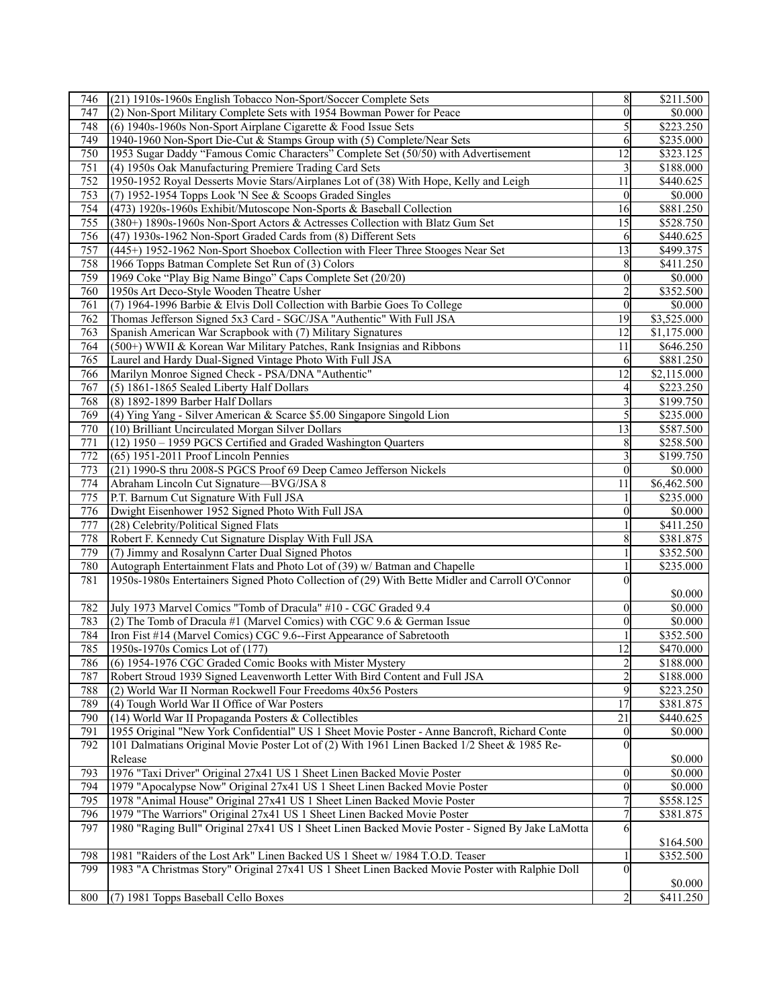| 746              | (21) 1910s-1960s English Tobacco Non-Sport/Soccer Complete Sets                                 | $\,$ 8 $\,$             | \$211.500             |
|------------------|-------------------------------------------------------------------------------------------------|-------------------------|-----------------------|
| 747              | (2) Non-Sport Military Complete Sets with 1954 Bowman Power for Peace                           | $\theta$                | \$0.000               |
| 748              | (6) 1940s-1960s Non-Sport Airplane Cigarette & Food Issue Sets                                  | 5                       | \$223.250             |
| 749              | 1940-1960 Non-Sport Die-Cut & Stamps Group with (5) Complete/Near Sets                          | 6                       | \$235.000             |
| 750              | 1953 Sugar Daddy "Famous Comic Characters" Complete Set (50/50) with Advertisement              | 12                      | \$323.125             |
| 751              | (4) 1950s Oak Manufacturing Premiere Trading Card Sets                                          | 3                       | \$188.000             |
| 752              | 1950-1952 Royal Desserts Movie Stars/Airplanes Lot of (38) With Hope, Kelly and Leigh           | 11                      | \$440.625             |
| 753              | (7) 1952-1954 Topps Look 'N See & Scoops Graded Singles                                         | $\theta$                | \$0.000               |
|                  |                                                                                                 |                         |                       |
| 754              | (473) 1920s-1960s Exhibit/Mutoscope Non-Sports & Baseball Collection                            | 16                      | \$881.250             |
| 755              | (380+) 1890s-1960s Non-Sport Actors & Actresses Collection with Blatz Gum Set                   | 15                      | \$528.750             |
| 756              | (47) 1930s-1962 Non-Sport Graded Cards from (8) Different Sets                                  | 6                       | \$440.625             |
| $\overline{757}$ | (445+) 1952-1962 Non-Sport Shoebox Collection with Fleer Three Stooges Near Set                 | $\overline{13}$         | \$499.375             |
| 758              | 1966 Topps Batman Complete Set Run of (3) Colors                                                | 8                       | \$411.250             |
| 759              | 1969 Coke "Play Big Name Bingo" Caps Complete Set (20/20)                                       | $\boldsymbol{0}$        | \$0.000               |
| 760              | 1950s Art Deco-Style Wooden Theatre Usher                                                       | 2                       | \$352.500             |
| 761              | (7) 1964-1996 Barbie & Elvis Doll Collection with Barbie Goes To College                        | $\mathbf{0}$            | \$0.000               |
| 762              | Thomas Jefferson Signed 5x3 Card - SGC/JSA "Authentic" With Full JSA                            | $\overline{19}$         | \$3,525.000           |
| 763              | Spanish American War Scrapbook with (7) Military Signatures                                     | 12                      | \$1,175.000           |
| 764              | (500+) WWII & Korean War Military Patches, Rank Insignias and Ribbons                           | 11                      | \$646.250             |
| 765              | Laurel and Hardy Dual-Signed Vintage Photo With Full JSA                                        | 6                       | \$881.250             |
| 766              | Marilyn Monroe Signed Check - PSA/DNA "Authentic"                                               | 12                      | \$2,115.000           |
| $\overline{767}$ | (5) 1861-1865 Sealed Liberty Half Dollars                                                       | 4                       | \$223.250             |
| 768              | (8) 1892-1899 Barber Half Dollars                                                               | 3                       | \$199.750             |
| 769              | (4) Ying Yang - Silver American & Scarce \$5.00 Singapore Singold Lion                          | 5                       | \$235.000             |
| 770              | (10) Brilliant Uncirculated Morgan Silver Dollars                                               | 13                      | \$587.500             |
| 771              | (12) 1950 - 1959 PGCS Certified and Graded Washington Quarters                                  |                         | \$258.500             |
| $\overline{772}$ |                                                                                                 | 8                       |                       |
|                  | $(65)$ 1951-2011 Proof Lincoln Pennies                                                          |                         | \$199.750             |
| 773              | (21) 1990-S thru 2008-S PGCS Proof 69 Deep Cameo Jefferson Nickels                              | $\theta$                | \$0.000               |
| 774              | Abraham Lincoln Cut Signature-BVG/JSA 8                                                         | 11                      | \$6,462.500           |
| 775              | P.T. Barnum Cut Signature With Full JSA                                                         |                         | \$235.000             |
| 776              | Dwight Eisenhower 1952 Signed Photo With Full JSA                                               | $\boldsymbol{0}$        | \$0.000               |
| 777              | (28) Celebrity/Political Signed Flats                                                           |                         | \$411.250             |
| 778              | Robert F. Kennedy Cut Signature Display With Full JSA                                           | 8                       | \$381.875             |
| 779              | (7) Jimmy and Rosalynn Carter Dual Signed Photos                                                |                         | \$352.500             |
| 780              | Autograph Entertainment Flats and Photo Lot of (39) w/ Batman and Chapelle                      |                         | \$235.000             |
| 781              | 1950s-1980s Entertainers Signed Photo Collection of (29) With Bette Midler and Carroll O'Connor | $\theta$                |                       |
|                  |                                                                                                 |                         | \$0.000               |
| 782              | July 1973 Marvel Comics "Tomb of Dracula" #10 - CGC Graded 9.4                                  | $\theta$                | \$0.000               |
| 783              | (2) The Tomb of Dracula #1 (Marvel Comics) with CGC 9.6 & German Issue                          | $\mathbf{0}$            | \$0.000               |
| 784              | Iron Fist #14 (Marvel Comics) CGC 9.6--First Appearance of Sabretooth                           |                         | \$352.500             |
| 785              | 1950s-1970s Comics Lot of (177)                                                                 | 12                      | \$470.000             |
| 786              | (6) 1954-1976 CGC Graded Comic Books with Mister Mystery                                        | $\overline{\mathbf{c}}$ | \$188.000             |
| 787              | Robert Stroud 1939 Signed Leavenworth Letter With Bird Content and Full JSA                     | $\overline{2}$          | \$188.000             |
| 788              | (2) World War II Norman Rockwell Four Freedoms 40x56 Posters                                    | 9                       | \$223.250             |
|                  |                                                                                                 |                         |                       |
| 789              | (4) Tough World War II Office of War Posters                                                    | 17                      | \$381.875             |
| 790              | (14) World War II Propaganda Posters & Collectibles                                             | 21                      | \$440.625             |
| 791              | 1955 Original "New York Confidential" US 1 Sheet Movie Poster - Anne Bancroft, Richard Conte    | $\boldsymbol{0}$        | \$0.000               |
| 792              | 101 Dalmatians Original Movie Poster Lot of (2) With 1961 Linen Backed 1/2 Sheet & 1985 Re-     | 0                       |                       |
|                  | Release                                                                                         |                         | \$0.000               |
| 793              | 1976 "Taxi Driver" Original 27x41 US 1 Sheet Linen Backed Movie Poster                          | 0                       | \$0.000               |
| 794              | 1979 "Apocalypse Now" Original 27x41 US 1 Sheet Linen Backed Movie Poster                       | $\boldsymbol{0}$        | \$0.000               |
| 795              | 1978 "Animal House" Original 27x41 US 1 Sheet Linen Backed Movie Poster                         |                         | \$558.125             |
| 796              | 1979 "The Warriors" Original 27x41 US 1 Sheet Linen Backed Movie Poster                         | 7                       | \$381.875             |
| 797              | 1980 "Raging Bull" Original 27x41 US 1 Sheet Linen Backed Movie Poster - Signed By Jake LaMotta | 6                       |                       |
|                  |                                                                                                 |                         | \$164.500             |
| 798              | 1981 "Raiders of the Lost Ark" Linen Backed US 1 Sheet w/ 1984 T.O.D. Teaser                    |                         | \$352.500             |
| 799              | 1983 "A Christmas Story" Original 27x41 US 1 Sheet Linen Backed Movie Poster with Ralphie Doll  | $\Omega$                |                       |
|                  |                                                                                                 |                         | \$0.000               |
| 800              | (7) 1981 Topps Baseball Cello Boxes                                                             | $\overline{2}$          | $\overline{$411.250}$ |
|                  |                                                                                                 |                         |                       |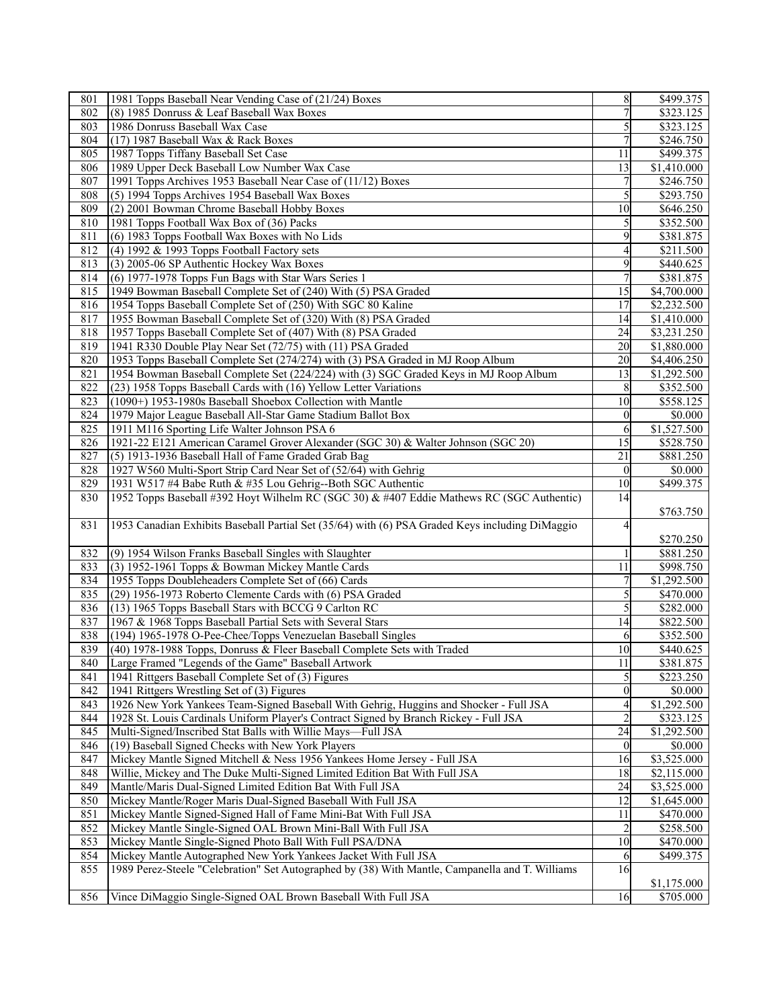| 801 | 1981 Topps Baseball Near Vending Case of (21/24) Boxes                                          | $\,$ 8 $\,$     | \$499.375   |
|-----|-------------------------------------------------------------------------------------------------|-----------------|-------------|
| 802 | (8) 1985 Donruss & Leaf Baseball Wax Boxes                                                      | 7               | \$323.125   |
| 803 | 1986 Donruss Baseball Wax Case                                                                  | 5               | \$323.125   |
| 804 | (17) 1987 Baseball Wax & Rack Boxes                                                             | 7               | \$246.750   |
| 805 | 1987 Topps Tiffany Baseball Set Case                                                            | 11              | \$499.375   |
| 806 | 1989 Upper Deck Baseball Low Number Wax Case                                                    | 13              | \$1,410.000 |
| 807 | 1991 Topps Archives 1953 Baseball Near Case of (11/12) Boxes                                    | 7               | \$246.750   |
| 808 | (5) 1994 Topps Archives 1954 Baseball Wax Boxes                                                 | 5               | \$293.750   |
| 809 | (2) 2001 Bowman Chrome Baseball Hobby Boxes                                                     | 10              | \$646.250   |
| 810 | 1981 Topps Football Wax Box of (36) Packs                                                       |                 | \$352.500   |
| 811 | (6) 1983 Topps Football Wax Boxes with No Lids                                                  | 9               | \$381.875   |
| 812 | $(4)$ 1992 & 1993 Topps Football Factory sets                                                   | 4               | \$211.500   |
| 813 | (3) 2005-06 SP Authentic Hockey Wax Boxes                                                       | 9               | \$440.625   |
| 814 | (6) 1977-1978 Topps Fun Bags with Star Wars Series 1                                            | 7               | \$381.875   |
| 815 | 1949 Bowman Baseball Complete Set of (240) With (5) PSA Graded                                  | 15              | \$4,700.000 |
| 816 | 1954 Topps Baseball Complete Set of (250) With SGC 80 Kaline                                    | 17              | \$2,232.500 |
| 817 | 1955 Bowman Baseball Complete Set of (320) With (8) PSA Graded                                  | 14              | \$1,410.000 |
| 818 | 1957 Topps Baseball Complete Set of (407) With (8) PSA Graded                                   | 24              | \$3,231.250 |
| 819 | 1941 R330 Double Play Near Set (72/75) with (11) PSA Graded                                     | 20              | \$1,880.000 |
| 820 | 1953 Topps Baseball Complete Set (274/274) with (3) PSA Graded in MJ Roop Album                 | 20              | \$4,406.250 |
| 821 | 1954 Bowman Baseball Complete Set (224/224) with (3) SGC Graded Keys in MJ Roop Album           | 13              | \$1,292.500 |
| 822 | (23) 1958 Topps Baseball Cards with (16) Yellow Letter Variations                               | 8               | \$352.500   |
| 823 | (1090+) 1953-1980s Baseball Shoebox Collection with Mantle                                      | 10              | \$558.125   |
| 824 | 1979 Major League Baseball All-Star Game Stadium Ballot Box                                     | $\theta$        | \$0.000     |
| 825 | 1911 M116 Sporting Life Walter Johnson PSA 6                                                    | 6               | \$1,527.500 |
| 826 | 1921-22 E121 American Caramel Grover Alexander (SGC 30) & Walter Johnson (SGC 20)               | 15              | \$528.750   |
| 827 | (5) 1913-1936 Baseball Hall of Fame Graded Grab Bag                                             | 21              | \$881.250   |
| 828 | 1927 W560 Multi-Sport Strip Card Near Set of (52/64) with Gehrig                                | $\theta$        | \$0.000     |
| 829 | 1931 W517 #4 Babe Ruth & #35 Lou Gehrig--Both SGC Authentic                                     | 10              | \$499.375   |
| 830 | 1952 Topps Baseball #392 Hoyt Wilhelm RC (SGC 30) & #407 Eddie Mathews RC (SGC Authentic)       | 14              |             |
|     |                                                                                                 |                 | \$763.750   |
| 831 | 1953 Canadian Exhibits Baseball Partial Set (35/64) with (6) PSA Graded Keys including DiMaggio | 4               |             |
|     |                                                                                                 |                 | \$270.250   |
| 832 | (9) 1954 Wilson Franks Baseball Singles with Slaughter                                          |                 | \$881.250   |
| 833 | (3) 1952-1961 Topps & Bowman Mickey Mantle Cards                                                | $\overline{11}$ | \$998.750   |
| 834 | 1955 Topps Doubleheaders Complete Set of (66) Cards                                             |                 | \$1,292.500 |
| 835 | (29) 1956-1973 Roberto Clemente Cards with (6) PSA Graded                                       | 5               | \$470.000   |
| 836 | (13) 1965 Topps Baseball Stars with BCCG 9 Carlton RC                                           | 5               | \$282.000   |
| 837 | 1967 & 1968 Topps Baseball Partial Sets with Several Stars                                      | 14              | \$822.500   |
| 838 | (194) 1965-1978 O-Pee-Chee/Topps Venezuelan Baseball Singles                                    | 6               | \$352.500   |
| 839 | (40) 1978-1988 Topps, Donruss & Fleer Baseball Complete Sets with Traded                        | 10              | \$440.625   |
| 840 | Large Framed "Legends of the Game" Baseball Artwork                                             | $\overline{11}$ | \$381.875   |
| 841 | 1941 Rittgers Baseball Complete Set of (3) Figures                                              | 5               | \$223.250   |
| 842 | 1941 Rittgers Wrestling Set of (3) Figures                                                      | 0               | \$0.000     |
| 843 | 1926 New York Yankees Team-Signed Baseball With Gehrig, Huggins and Shocker - Full JSA          | 4               | \$1,292.500 |
| 844 | 1928 St. Louis Cardinals Uniform Player's Contract Signed by Branch Rickey - Full JSA           |                 | \$323.125   |
| 845 | Multi-Signed/Inscribed Stat Balls with Willie Mays-Full JSA                                     | 24              | \$1,292.500 |
| 846 | (19) Baseball Signed Checks with New York Players                                               | $\mathbf{0}$    | \$0.000     |
| 847 | Mickey Mantle Signed Mitchell & Ness 1956 Yankees Home Jersey - Full JSA                        | 16              | \$3,525.000 |
| 848 | Willie, Mickey and The Duke Multi-Signed Limited Edition Bat With Full JSA                      | 18              | \$2,115.000 |
| 849 | Mantle/Maris Dual-Signed Limited Edition Bat With Full JSA                                      | 24              | \$3,525.000 |
| 850 | Mickey Mantle/Roger Maris Dual-Signed Baseball With Full JSA                                    | 12              | \$1,645.000 |
| 851 | Mickey Mantle Signed-Signed Hall of Fame Mini-Bat With Full JSA                                 | 11              | \$470.000   |
| 852 | Mickey Mantle Single-Signed OAL Brown Mini-Ball With Full JSA                                   |                 | \$258.500   |
| 853 | Mickey Mantle Single-Signed Photo Ball With Full PSA/DNA                                        | 10              | \$470.000   |
| 854 | Mickey Mantle Autographed New York Yankees Jacket With Full JSA                                 | 6               | \$499.375   |
| 855 | 1989 Perez-Steele "Celebration" Set Autographed by (38) With Mantle, Campanella and T. Williams | 16              |             |
|     |                                                                                                 |                 | \$1,175.000 |
| 856 | Vince DiMaggio Single-Signed OAL Brown Baseball With Full JSA                                   | 16              | \$705.000   |